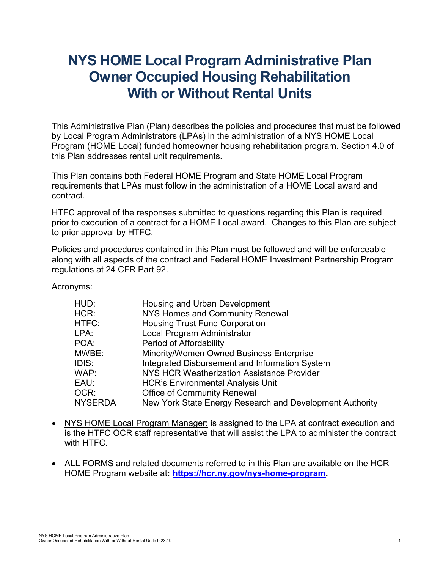# **NYS HOME Local Program Administrative Plan Owner Occupied Housing Rehabilitation With or Without Rental Units**

This Administrative Plan (Plan) describes the policies and procedures that must be followed by Local Program Administrators (LPAs) in the administration of a NYS HOME Local Program (HOME Local) funded homeowner housing rehabilitation program. Section 4.0 of this Plan addresses rental unit requirements.

This Plan contains both Federal HOME Program and State HOME Local Program requirements that LPAs must follow in the administration of a HOME Local award and contract.

HTFC approval of the responses submitted to questions regarding this Plan is required prior to execution of a contract for a HOME Local award. Changes to this Plan are subject to prior approval by HTFC.

Policies and procedures contained in this Plan must be followed and will be enforceable along with all aspects of the contract and Federal HOME Investment Partnership Program regulations at 24 CFR Part 92.

Acronyms:

| HUD:           | Housing and Urban Development                            |
|----------------|----------------------------------------------------------|
| HCR:           | <b>NYS Homes and Community Renewal</b>                   |
| HTFC:          | <b>Housing Trust Fund Corporation</b>                    |
| LPA:           | Local Program Administrator                              |
| POA:           | Period of Affordability                                  |
| MWBE:          | Minority/Women Owned Business Enterprise                 |
| IDIS:          | Integrated Disbursement and Information System           |
| WAP:           | NYS HCR Weatherization Assistance Provider               |
| EAU:           | <b>HCR's Environmental Analysis Unit</b>                 |
| OCR:           | <b>Office of Community Renewal</b>                       |
| <b>NYSERDA</b> | New York State Energy Research and Development Authority |
|                |                                                          |

- NYS HOME Local Program Manager: is assigned to the LPA at contract execution and is the HTFC OCR staff representative that will assist the LPA to administer the contract with HTFC.
- ALL FORMS and related documents referred to in this Plan are available on the HCR HOME Program website at**: [https://hcr.ny.gov/nys-home-program.](https://hcr.ny.gov/nys-home-program)**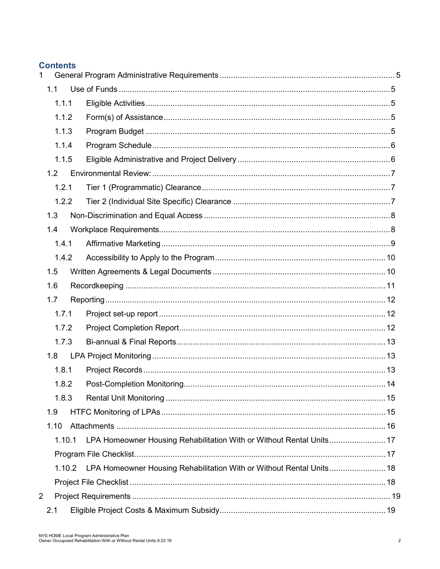#### **Contents**

| $\mathbf{1}$ |        |                                                                      |  |
|--------------|--------|----------------------------------------------------------------------|--|
|              | 1.1    |                                                                      |  |
|              | 1.1.1  |                                                                      |  |
|              | 1.1.2  |                                                                      |  |
|              | 1.1.3  |                                                                      |  |
|              | 1.1.4  |                                                                      |  |
|              | 1.1.5  |                                                                      |  |
|              | 1.2    |                                                                      |  |
|              | 1.2.1  |                                                                      |  |
|              | 1.2.2  |                                                                      |  |
|              | 1.3    |                                                                      |  |
|              | 1.4    |                                                                      |  |
|              | 1.4.1  |                                                                      |  |
|              | 1.4.2  |                                                                      |  |
|              | 1.5    |                                                                      |  |
|              | 1.6    |                                                                      |  |
|              | 1.7    |                                                                      |  |
|              | 1.7.1  |                                                                      |  |
|              | 1.7.2  |                                                                      |  |
|              | 1.7.3  |                                                                      |  |
|              | 1.8    |                                                                      |  |
|              | 1.8.1  |                                                                      |  |
|              | 1.8.2  |                                                                      |  |
|              | 1.8.3  |                                                                      |  |
|              | 1.9    |                                                                      |  |
|              | 1.10   |                                                                      |  |
|              | 1.10.1 | LPA Homeowner Housing Rehabilitation With or Without Rental Units 17 |  |
|              |        |                                                                      |  |
|              | 1.10.2 | LPA Homeowner Housing Rehabilitation With or Without Rental Units 18 |  |
|              |        |                                                                      |  |
| 2            |        |                                                                      |  |
|              | 2.1    |                                                                      |  |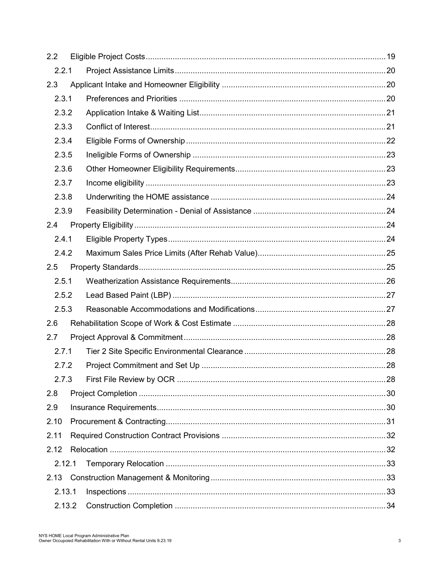| 2.2   |        |  |
|-------|--------|--|
|       | 2.2.1  |  |
| 2.3   |        |  |
|       | 2.3.1  |  |
|       | 2.3.2  |  |
|       | 2.3.3  |  |
|       | 2.3.4  |  |
|       | 2.3.5  |  |
|       | 2.3.6  |  |
|       | 2.3.7  |  |
|       | 2.3.8  |  |
|       | 2.3.9  |  |
| 2.4   |        |  |
|       | 2.4.1  |  |
|       | 2.4.2  |  |
| 2.5   |        |  |
|       | 2.5.1  |  |
|       | 2.5.2  |  |
|       | 2.5.3  |  |
| 2.6   |        |  |
| 2.7   |        |  |
| 2.7.1 |        |  |
|       | 2.7.2  |  |
|       | 2.7.3  |  |
| 2.8   |        |  |
| 2.9   |        |  |
| 2.10  |        |  |
| 2.11  |        |  |
| 2.12  |        |  |
|       | 2.12.1 |  |
| 2.13  |        |  |
|       | 2.13.1 |  |
|       | 2.13.2 |  |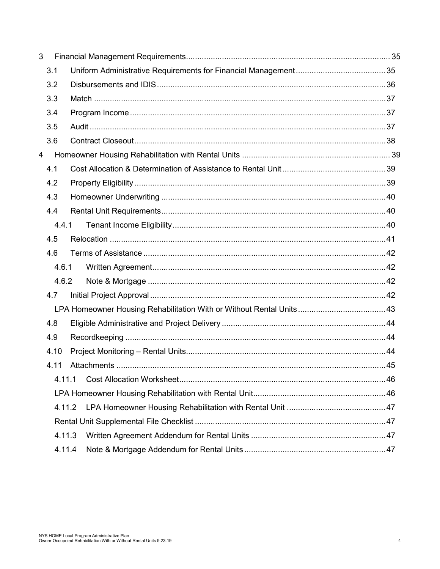| 3 |        |  |
|---|--------|--|
|   | 3.1    |  |
|   | 3.2    |  |
|   | 3.3    |  |
|   | 3.4    |  |
|   | 3.5    |  |
|   | 3.6    |  |
| 4 |        |  |
|   | 4.1    |  |
|   | 4.2    |  |
|   | 4.3    |  |
|   | 4.4    |  |
|   | 4.4.1  |  |
|   | 4.5    |  |
|   | 4.6    |  |
|   | 4.6.1  |  |
|   | 4.6.2  |  |
|   | 4.7    |  |
|   |        |  |
|   | 4.8    |  |
|   | 4.9    |  |
|   | 4.10   |  |
|   | 4.11   |  |
|   | 4.11.1 |  |
|   |        |  |
|   | 4.11.2 |  |
|   |        |  |
|   | 4.11.3 |  |
|   | 4.11.4 |  |
|   |        |  |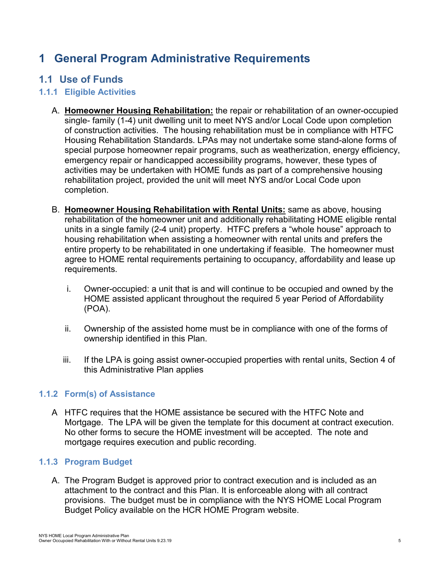## <span id="page-4-0"></span>**1 General Program Administrative Requirements**

### <span id="page-4-1"></span>**1.1 Use of Funds**

### <span id="page-4-2"></span>**1.1.1 Eligible Activities**

- A. **Homeowner Housing Rehabilitation:** the repair or rehabilitation of an owner-occupied single- family (1-4) unit dwelling unit to meet NYS and/or Local Code upon completion of construction activities. The housing rehabilitation must be in compliance with HTFC Housing Rehabilitation Standards. LPAs may not undertake some stand-alone forms of special purpose homeowner repair programs, such as weatherization, energy efficiency, emergency repair or handicapped accessibility programs, however, these types of activities may be undertaken with HOME funds as part of a comprehensive housing rehabilitation project, provided the unit will meet NYS and/or Local Code upon completion.
- B. **Homeowner Housing Rehabilitation with Rental Units:** same as above, housing rehabilitation of the homeowner unit and additionally rehabilitating HOME eligible rental units in a single family (2-4 unit) property. HTFC prefers a "whole house" approach to housing rehabilitation when assisting a homeowner with rental units and prefers the entire property to be rehabilitated in one undertaking if feasible. The homeowner must agree to HOME rental requirements pertaining to occupancy, affordability and lease up requirements.
	- i. Owner-occupied: a unit that is and will continue to be occupied and owned by the HOME assisted applicant throughout the required 5 year Period of Affordability (POA).
	- ii. Ownership of the assisted home must be in compliance with one of the forms of ownership identified in this Plan.
	- iii. If the LPA is going assist owner-occupied properties with rental units, Section [4](#page-38-0) of this Administrative Plan applies

### <span id="page-4-3"></span>**1.1.2 Form(s) of Assistance**

A HTFC requires that the HOME assistance be secured with the HTFC Note and Mortgage. The LPA will be given the template for this document at contract execution. No other forms to secure the HOME investment will be accepted. The note and mortgage requires execution and public recording.

### <span id="page-4-4"></span>**1.1.3 Program Budget**

A. The Program Budget is approved prior to contract execution and is included as an attachment to the contract and this Plan. It is enforceable along with all contract provisions. The budget must be in compliance with the NYS HOME Local Program Budget Policy available on the HCR HOME Program website.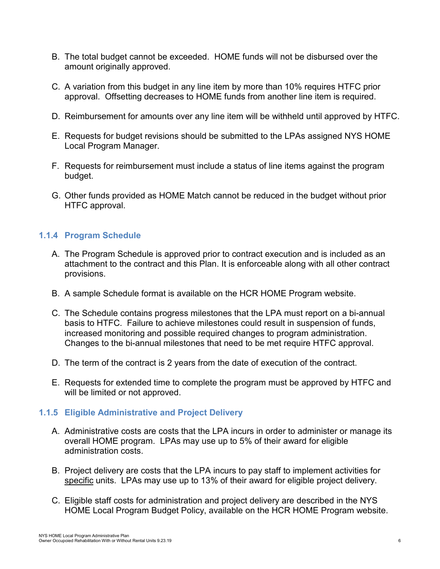- B. The total budget cannot be exceeded. HOME funds will not be disbursed over the amount originally approved.
- C. A variation from this budget in any line item by more than 10% requires HTFC prior approval. Offsetting decreases to HOME funds from another line item is required.
- D. Reimbursement for amounts over any line item will be withheld until approved by HTFC.
- E. Requests for budget revisions should be submitted to the LPAs assigned NYS HOME Local Program Manager.
- F. Requests for reimbursement must include a status of line items against the program budget.
- G. Other funds provided as HOME Match cannot be reduced in the budget without prior HTFC approval.

### <span id="page-5-0"></span>**1.1.4 Program Schedule**

- A. The Program Schedule is approved prior to contract execution and is included as an attachment to the contract and this Plan. It is enforceable along with all other contract provisions.
- B. A sample Schedule format is available on the HCR HOME Program website.
- C. The Schedule contains progress milestones that the LPA must report on a bi-annual basis to HTFC. Failure to achieve milestones could result in suspension of funds, increased monitoring and possible required changes to program administration. Changes to the bi-annual milestones that need to be met require HTFC approval.
- D. The term of the contract is 2 years from the date of execution of the contract.
- E. Requests for extended time to complete the program must be approved by HTFC and will be limited or not approved.

### <span id="page-5-1"></span>**1.1.5 Eligible Administrative and Project Delivery**

- A. Administrative costs are costs that the LPA incurs in order to administer or manage its overall HOME program. LPAs may use up to 5% of their award for eligible administration costs.
- B. Project delivery are costs that the LPA incurs to pay staff to implement activities for specific units. LPAs may use up to 13% of their award for eligible project delivery.
- C. Eligible staff costs for administration and project delivery are described in the NYS HOME Local Program Budget Policy, available on the HCR HOME Program website.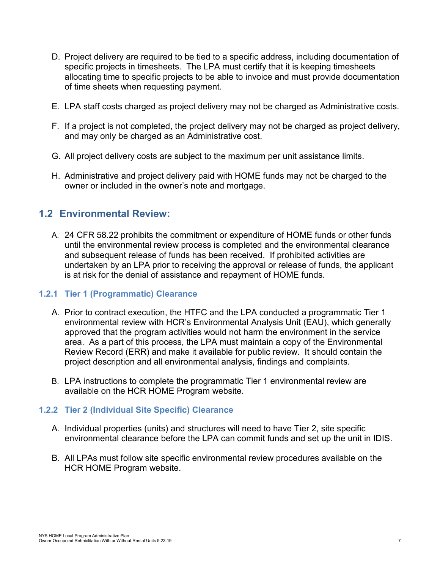- D. Project delivery are required to be tied to a specific address, including documentation of specific projects in timesheets. The LPA must certify that it is keeping timesheets allocating time to specific projects to be able to invoice and must provide documentation of time sheets when requesting payment.
- E. LPA staff costs charged as project delivery may not be charged as Administrative costs.
- F. If a project is not completed, the project delivery may not be charged as project delivery, and may only be charged as an Administrative cost.
- G. All project delivery costs are subject to the maximum per unit assistance limits.
- H. Administrative and project delivery paid with HOME funds may not be charged to the owner or included in the owner's note and mortgage.

### <span id="page-6-0"></span>**1.2 Environmental Review:**

A. 24 CFR 58.22 prohibits the commitment or expenditure of HOME funds or other funds until the environmental review process is completed and the environmental clearance and subsequent release of funds has been received. If prohibited activities are undertaken by an LPA prior to receiving the approval or release of funds, the applicant is at risk for the denial of assistance and repayment of HOME funds.

#### <span id="page-6-1"></span>**1.2.1 Tier 1 (Programmatic) Clearance**

- A. Prior to contract execution, the HTFC and the LPA conducted a programmatic Tier 1 environmental review with HCR's Environmental Analysis Unit (EAU), which generally approved that the program activities would not harm the environment in the service area. As a part of this process, the LPA must maintain a copy of the Environmental Review Record (ERR) and make it available for public review. It should contain the project description and all environmental analysis, findings and complaints.
- B. LPA instructions to complete the programmatic Tier 1 environmental review are available on the HCR HOME Program website.

#### <span id="page-6-2"></span>**1.2.2 Tier 2 (Individual Site Specific) Clearance**

- A. Individual properties (units) and structures will need to have Tier 2, site specific environmental clearance before the LPA can commit funds and set up the unit in IDIS.
- B. All LPAs must follow site specific environmental review procedures available on the HCR HOME Program website.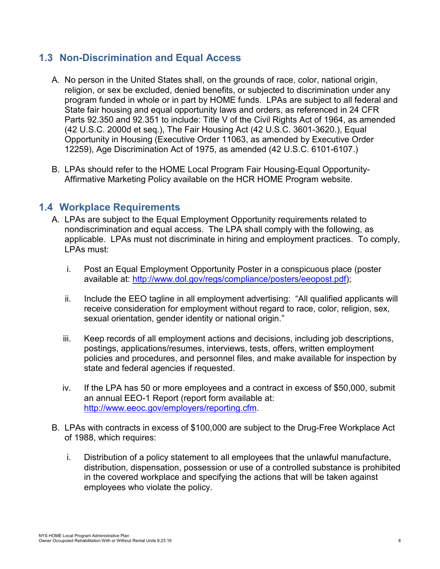### <span id="page-7-0"></span>**1.3 Non-Discrimination and Equal Access**

- A. No person in the United States shall, on the grounds of race, color, national origin, religion, or sex be excluded, denied benefits, or subjected to discrimination under any program funded in whole or in part by HOME funds. LPAs are subject to all federal and State fair housing and equal opportunity laws and orders, as referenced in 24 CFR Parts 92.350 and 92.351 to include: Title V of the Civil Rights Act of 1964, as amended (42 U.S.C. 2000d et seq.), The Fair Housing Act (42 U.S.C. 3601-3620.), Equal Opportunity in Housing (Executive Order 11063, as amended by Executive Order 12259), Age Discrimination Act of 1975, as amended (42 U.S.C. 6101-6107.)
- B. LPAs should refer to the HOME Local Program Fair Housing-Equal Opportunity-Affirmative Marketing Policy available on the HCR HOME Program website.

### <span id="page-7-1"></span>**1.4 Workplace Requirements**

- A. LPAs are subject to the Equal Employment Opportunity requirements related to nondiscrimination and equal access. The LPA shall comply with the following, as applicable. LPAs must not discriminate in hiring and employment practices. To comply, LPAs must:
	- i. Post an Equal Employment Opportunity Poster in a conspicuous place (poster available at: [http://www.dol.gov/regs/compliance/posters/eeopost.pdf\)](http://www.dol.gov/regs/compliance/posters/eeopost.pdf);
	- ii. Include the EEO tagline in all employment advertising: "All qualified applicants will receive consideration for employment without regard to race, color, religion, sex, sexual orientation, gender identity or national origin."
	- iii. Keep records of all employment actions and decisions, including job descriptions, postings, applications/resumes, interviews, tests, offers, written employment policies and procedures, and personnel files, and make available for inspection by state and federal agencies if requested.
	- iv. If the LPA has 50 or more employees and a contract in excess of \$50,000, submit an annual EEO-1 Report (report form available at: [http://www.eeoc.gov/employers/reporting.cfm.](http://www.eeoc.gov/employers/reporting.cfm)
- B. LPAs with contracts in excess of \$100,000 are subject to the Drug-Free Workplace Act of 1988, which requires:
	- i. Distribution of a policy statement to all employees that the unlawful manufacture, distribution, dispensation, possession or use of a controlled substance is prohibited in the covered workplace and specifying the actions that will be taken against employees who violate the policy.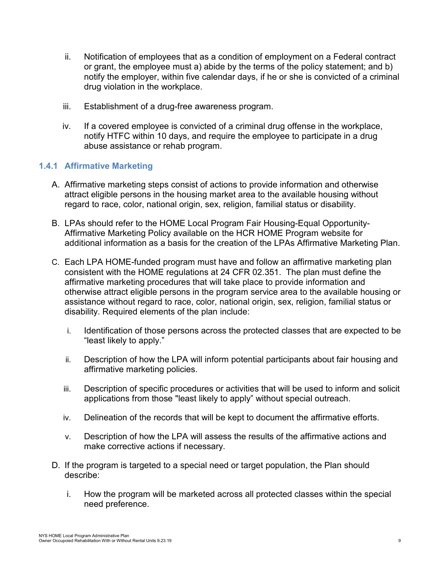- ii. Notification of employees that as a condition of employment on a Federal contract or grant, the employee must a) abide by the terms of the policy statement; and b) notify the employer, within five calendar days, if he or she is convicted of a criminal drug violation in the workplace.
- iii. Establishment of a drug-free awareness program.
- iv. If a covered employee is convicted of a criminal drug offense in the workplace, notify HTFC within 10 days, and require the employee to participate in a drug abuse assistance or rehab program.

#### <span id="page-8-0"></span>**1.4.1 Affirmative Marketing**

- A. Affirmative marketing steps consist of actions to provide information and otherwise attract eligible persons in the housing market area to the available housing without regard to race, color, national origin, sex, religion, familial status or disability.
- B. LPAs should refer to the HOME Local Program Fair Housing-Equal Opportunity-Affirmative Marketing Policy available on the HCR HOME Program website for additional information as a basis for the creation of the LPAs Affirmative Marketing Plan.
- C. Each LPA HOME-funded program must have and follow an affirmative marketing plan consistent with the HOME regulations at 24 CFR 02.351. The plan must define the affirmative marketing procedures that will take place to provide information and otherwise attract eligible persons in the program service area to the available housing or assistance without regard to race, color, national origin, sex, religion, familial status or disability. Required elements of the plan include:
	- i. Identification of those persons across the protected classes that are expected to be "least likely to apply."
	- ii. Description of how the LPA will inform potential participants about fair housing and affirmative marketing policies.
	- iii. Description of specific procedures or activities that will be used to inform and solicit applications from those "least likely to apply" without special outreach.
	- iv. Delineation of the records that will be kept to document the affirmative efforts.
	- v. Description of how the LPA will assess the results of the affirmative actions and make corrective actions if necessary.
- D. If the program is targeted to a special need or target population, the Plan should describe:
	- i. How the program will be marketed across all protected classes within the special need preference.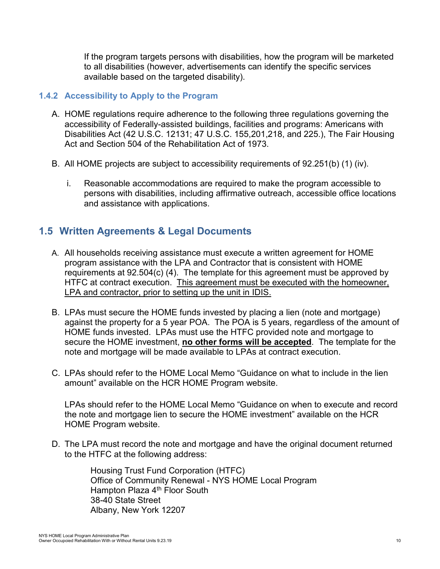If the program targets persons with disabilities, how the program will be marketed to all disabilities (however, advertisements can identify the specific services available based on the targeted disability).

#### <span id="page-9-0"></span>**1.4.2 Accessibility to Apply to the Program**

- A. HOME regulations require adherence to the following three regulations governing the accessibility of Federally-assisted buildings, facilities and programs: Americans with Disabilities Act (42 U.S.C. 12131; 47 U.S.C. 155,201,218, and 225.), The Fair Housing Act and Section 504 of the Rehabilitation Act of 1973.
- B. All HOME projects are subject to accessibility requirements of 92.251(b) (1) (iv).
	- i. Reasonable accommodations are required to make the program accessible to persons with disabilities, including affirmative outreach, accessible office locations and assistance with applications.

### <span id="page-9-1"></span>**1.5 Written Agreements & Legal Documents**

- A. All households receiving assistance must execute a written agreement for HOME program assistance with the LPA and Contractor that is consistent with HOME requirements at 92.504(c) (4). The template for this agreement must be approved by HTFC at contract execution. This agreement must be executed with the homeowner, LPA and contractor, prior to setting up the unit in IDIS.
- B. LPAs must secure the HOME funds invested by placing a lien (note and mortgage) against the property for a 5 year POA. The POA is 5 years, regardless of the amount of HOME funds invested. LPAs must use the HTFC provided note and mortgage to secure the HOME investment, **no other forms will be accepted**. The template for the note and mortgage will be made available to LPAs at contract execution.
- C. LPAs should refer to the HOME Local Memo "Guidance on what to include in the lien amount" available on the HCR HOME Program website.

LPAs should refer to the HOME Local Memo "Guidance on when to execute and record the note and mortgage lien to secure the HOME investment" available on the HCR HOME Program website.

D. The LPA must record the note and mortgage and have the original document returned to the HTFC at the following address:

> Housing Trust Fund Corporation (HTFC) Office of Community Renewal - NYS HOME Local Program Hampton Plaza 4<sup>th</sup> Floor South 38-40 State Street Albany, New York 12207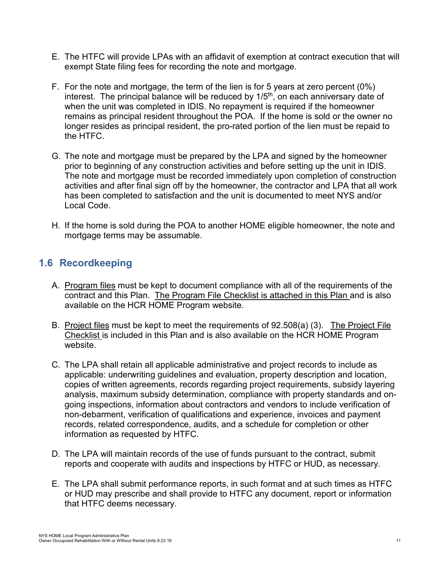- E. The HTFC will provide LPAs with an affidavit of exemption at contract execution that will exempt State filing fees for recording the note and mortgage.
- F. For the note and mortgage, the term of the lien is for 5 years at zero percent (0%) interest. The principal balance will be reduced by 1/5<sup>th</sup>, on each anniversary date of when the unit was completed in IDIS. No repayment is required if the homeowner remains as principal resident throughout the POA. If the home is sold or the owner no longer resides as principal resident, the pro-rated portion of the lien must be repaid to the HTFC.
- G. The note and mortgage must be prepared by the LPA and signed by the homeowner prior to beginning of any construction activities and before setting up the unit in IDIS. The note and mortgage must be recorded immediately upon completion of construction activities and after final sign off by the homeowner, the contractor and LPA that all work has been completed to satisfaction and the unit is documented to meet NYS and/or Local Code.
- H. If the home is sold during the POA to another HOME eligible homeowner, the note and mortgage terms may be assumable.

### <span id="page-10-0"></span>**1.6 Recordkeeping**

- A. Program files must be kept to document compliance with all of the requirements of the contract and this Plan. The Program File Checklist is attached in this Plan and is also available on the HCR HOME Program website.
- B. Project files must be kept to meet the requirements of 92.508(a) (3). The Project File Checklist is included in this Plan and is also available on the HCR HOME Program website.
- C. The LPA shall retain all applicable administrative and project records to include as applicable: underwriting guidelines and evaluation, property description and location, copies of written agreements, records regarding project requirements, subsidy layering analysis, maximum subsidy determination, compliance with property standards and ongoing inspections, information about contractors and vendors to include verification of non-debarment, verification of qualifications and experience, invoices and payment records, related correspondence, audits, and a schedule for completion or other information as requested by HTFC.
- D. The LPA will maintain records of the use of funds pursuant to the contract, submit reports and cooperate with audits and inspections by HTFC or HUD, as necessary.
- E. The LPA shall submit performance reports, in such format and at such times as HTFC or HUD may prescribe and shall provide to HTFC any document, report or information that HTFC deems necessary.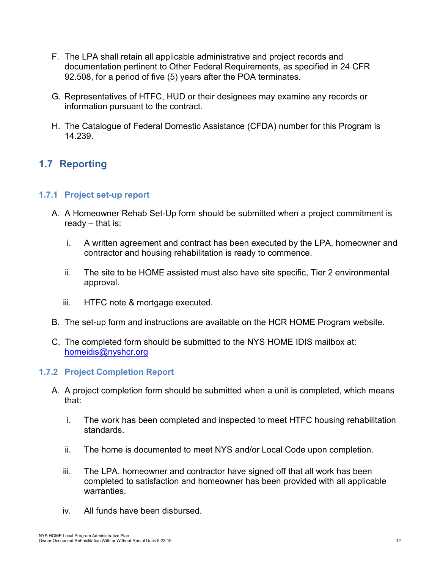- F. The LPA shall retain all applicable administrative and project records and documentation pertinent to Other Federal Requirements, as specified in 24 CFR 92.508, for a period of five (5) years after the POA terminates.
- G. Representatives of HTFC, HUD or their designees may examine any records or information pursuant to the contract.
- H. The Catalogue of Federal Domestic Assistance (CFDA) number for this Program is 14.239.

### <span id="page-11-0"></span>**1.7 Reporting**

#### <span id="page-11-1"></span>**1.7.1 Project set-up report**

- A. A Homeowner Rehab Set-Up form should be submitted when a project commitment is ready – that is:
	- i. A written agreement and contract has been executed by the LPA, homeowner and contractor and housing rehabilitation is ready to commence.
	- ii. The site to be HOME assisted must also have site specific, Tier 2 environmental approval.
	- iii. HTFC note & mortgage executed.
- B. The set-up form and instructions are available on the HCR HOME Program website.
- C. The completed form should be submitted to the NYS HOME IDIS mailbox at: [homeidis@nyshcr.org](mailto:homeidis@nyshcr.org)

### <span id="page-11-2"></span>**1.7.2 Project Completion Report**

- A. A project completion form should be submitted when a unit is completed, which means that:
	- i. The work has been completed and inspected to meet HTFC housing rehabilitation standards.
	- ii. The home is documented to meet NYS and/or Local Code upon completion.
	- iii. The LPA, homeowner and contractor have signed off that all work has been completed to satisfaction and homeowner has been provided with all applicable warranties.
	- iv. All funds have been disbursed.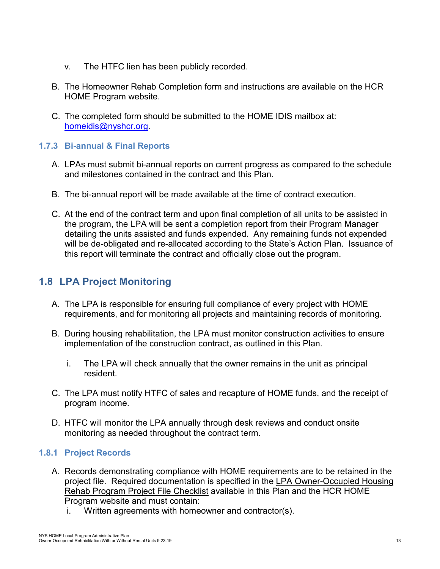- v. The HTFC lien has been publicly recorded.
- B. The Homeowner Rehab Completion form and instructions are available on the HCR HOME Program website.
- C. The completed form should be submitted to the HOME IDIS mailbox at: [homeidis@nyshcr.org.](mailto:homeidis@nyshcr.org)

### <span id="page-12-0"></span>**1.7.3 Bi-annual & Final Reports**

- A. LPAs must submit bi-annual reports on current progress as compared to the schedule and milestones contained in the contract and this Plan.
- B. The bi-annual report will be made available at the time of contract execution.
- C. At the end of the contract term and upon final completion of all units to be assisted in the program, the LPA will be sent a completion report from their Program Manager detailing the units assisted and funds expended. Any remaining funds not expended will be de-obligated and re-allocated according to the State's Action Plan. Issuance of this report will terminate the contract and officially close out the program.

### <span id="page-12-1"></span>**1.8 LPA Project Monitoring**

- A. The LPA is responsible for ensuring full compliance of every project with HOME requirements, and for monitoring all projects and maintaining records of monitoring.
- B. During housing rehabilitation, the LPA must monitor construction activities to ensure implementation of the construction contract, as outlined in this Plan.
	- i. The LPA will check annually that the owner remains in the unit as principal resident.
- C. The LPA must notify HTFC of sales and recapture of HOME funds, and the receipt of program income.
- D. HTFC will monitor the LPA annually through desk reviews and conduct onsite monitoring as needed throughout the contract term.

### <span id="page-12-2"></span>**1.8.1 Project Records**

- A. Records demonstrating compliance with HOME requirements are to be retained in the project file. Required documentation is specified in the LPA Owner-Occupied Housing Rehab Program Project File Checklist available in this Plan and the HCR HOME Program website and must contain:
	- i. Written agreements with homeowner and contractor(s).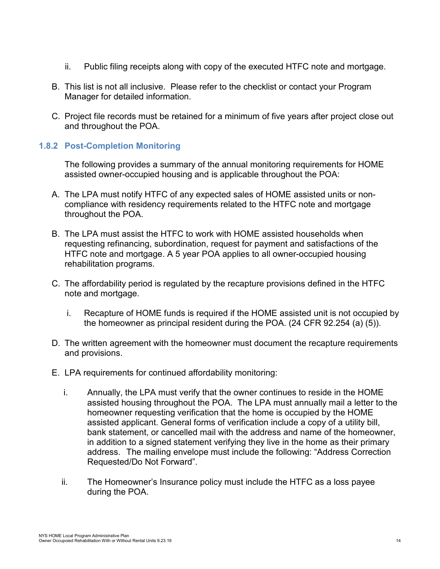- ii. Public filing receipts along with copy of the executed HTFC note and mortgage.
- B. This list is not all inclusive. Please refer to the checklist or contact your Program Manager for detailed information.
- C. Project file records must be retained for a minimum of five years after project close out and throughout the POA.

### <span id="page-13-0"></span>**1.8.2 Post-Completion Monitoring**

The following provides a summary of the annual monitoring requirements for HOME assisted owner-occupied housing and is applicable throughout the POA:

- A. The LPA must notify HTFC of any expected sales of HOME assisted units or noncompliance with residency requirements related to the HTFC note and mortgage throughout the POA.
- B. The LPA must assist the HTFC to work with HOME assisted households when requesting refinancing, subordination, request for payment and satisfactions of the HTFC note and mortgage. A 5 year POA applies to all owner-occupied housing rehabilitation programs.
- C. The affordability period is regulated by the recapture provisions defined in the HTFC note and mortgage.
	- i. Recapture of HOME funds is required if the HOME assisted unit is not occupied by the homeowner as principal resident during the POA. (24 CFR 92.254 (a) (5)).
- D. The written agreement with the homeowner must document the recapture requirements and provisions.
- E. LPA requirements for continued affordability monitoring:
	- i. Annually, the LPA must verify that the owner continues to reside in the HOME assisted housing throughout the POA. The LPA must annually mail a letter to the homeowner requesting verification that the home is occupied by the HOME assisted applicant. General forms of verification include a copy of a utility bill, bank statement, or cancelled mail with the address and name of the homeowner, in addition to a signed statement verifying they live in the home as their primary address. The mailing envelope must include the following: "Address Correction Requested/Do Not Forward".
	- ii. The Homeowner's Insurance policy must include the HTFC as a loss payee during the POA.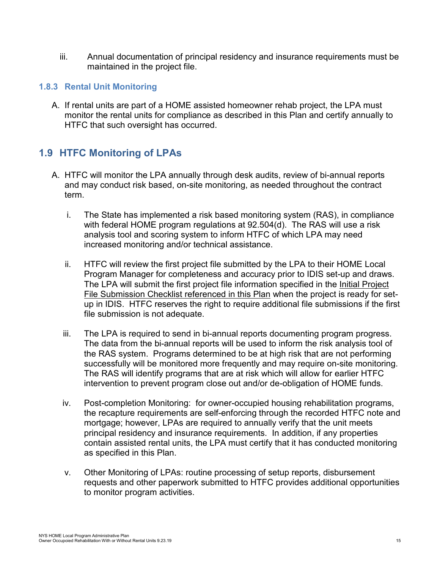iii. Annual documentation of principal residency and insurance requirements must be maintained in the project file.

#### <span id="page-14-0"></span>**1.8.3 Rental Unit Monitoring**

A. If rental units are part of a HOME assisted homeowner rehab project, the LPA must monitor the rental units for compliance as described in this Plan and certify annually to HTFC that such oversight has occurred.

### <span id="page-14-1"></span>**1.9 HTFC Monitoring of LPAs**

- A. HTFC will monitor the LPA annually through desk audits, review of bi-annual reports and may conduct risk based, on-site monitoring, as needed throughout the contract term.
	- i. The State has implemented a risk based monitoring system (RAS), in compliance with federal HOME program regulations at 92.504(d). The RAS will use a risk analysis tool and scoring system to inform HTFC of which LPA may need increased monitoring and/or technical assistance.
	- ii. HTFC will review the first project file submitted by the LPA to their HOME Local Program Manager for completeness and accuracy prior to IDIS set-up and draws. The LPA will submit the first project file information specified in the Initial Project File Submission Checklist referenced in this Plan when the project is ready for setup in IDIS. HTFC reserves the right to require additional file submissions if the first file submission is not adequate.
	- iii. The LPA is required to send in bi-annual reports documenting program progress. The data from the bi-annual reports will be used to inform the risk analysis tool of the RAS system. Programs determined to be at high risk that are not performing successfully will be monitored more frequently and may require on-site monitoring. The RAS will identify programs that are at risk which will allow for earlier HTFC intervention to prevent program close out and/or de-obligation of HOME funds.
	- iv. Post-completion Monitoring: for owner-occupied housing rehabilitation programs, the recapture requirements are self-enforcing through the recorded HTFC note and mortgage; however, LPAs are required to annually verify that the unit meets principal residency and insurance requirements. In addition, if any properties contain assisted rental units, the LPA must certify that it has conducted monitoring as specified in this Plan.
	- v. Other Monitoring of LPAs: routine processing of setup reports, disbursement requests and other paperwork submitted to HTFC provides additional opportunities to monitor program activities.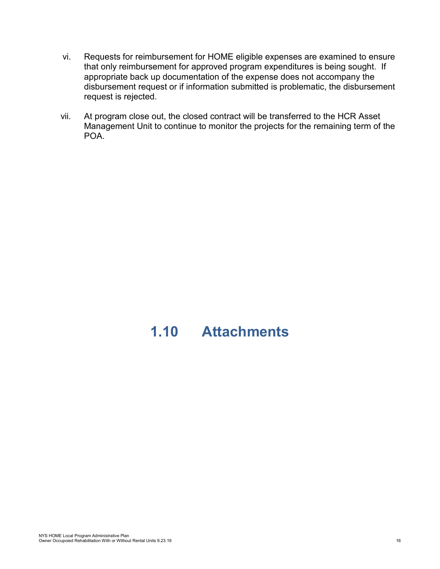- vi. Requests for reimbursement for HOME eligible expenses are examined to ensure that only reimbursement for approved program expenditures is being sought. If appropriate back up documentation of the expense does not accompany the disbursement request or if information submitted is problematic, the disbursement request is rejected.
- vii. At program close out, the closed contract will be transferred to the HCR Asset Management Unit to continue to monitor the projects for the remaining term of the POA.

# <span id="page-15-0"></span>**1.10 Attachments**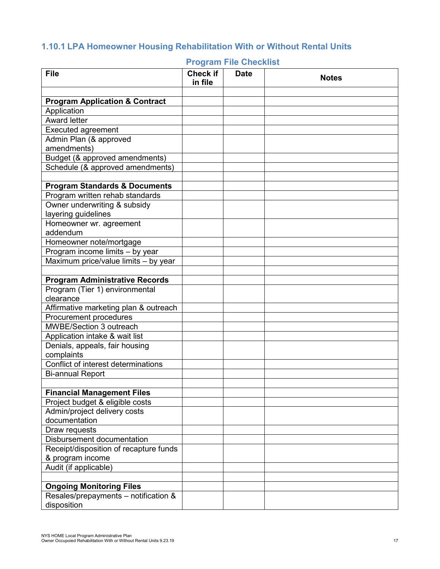## <span id="page-16-1"></span><span id="page-16-0"></span>**1.10.1 LPA Homeowner Housing Rehabilitation With or Without Rental Units**

| <b>File</b>                               | <b>Check if</b><br>in file | <b>Date</b> | <b>Notes</b> |
|-------------------------------------------|----------------------------|-------------|--------------|
|                                           |                            |             |              |
| <b>Program Application &amp; Contract</b> |                            |             |              |
| Application                               |                            |             |              |
| <b>Award letter</b>                       |                            |             |              |
| <b>Executed agreement</b>                 |                            |             |              |
| Admin Plan (& approved                    |                            |             |              |
| amendments)                               |                            |             |              |
| Budget (& approved amendments)            |                            |             |              |
| Schedule (& approved amendments)          |                            |             |              |
|                                           |                            |             |              |
| <b>Program Standards &amp; Documents</b>  |                            |             |              |
| Program written rehab standards           |                            |             |              |
| Owner underwriting & subsidy              |                            |             |              |
| layering guidelines                       |                            |             |              |
| Homeowner wr. agreement                   |                            |             |              |
| addendum                                  |                            |             |              |
| Homeowner note/mortgage                   |                            |             |              |
| Program income limits - by year           |                            |             |              |
| Maximum price/value limits - by year      |                            |             |              |
|                                           |                            |             |              |
| <b>Program Administrative Records</b>     |                            |             |              |
| Program (Tier 1) environmental            |                            |             |              |
| clearance                                 |                            |             |              |
| Affirmative marketing plan & outreach     |                            |             |              |
| Procurement procedures                    |                            |             |              |
| MWBE/Section 3 outreach                   |                            |             |              |
| Application intake & wait list            |                            |             |              |
| Denials, appeals, fair housing            |                            |             |              |
| complaints                                |                            |             |              |
| Conflict of interest determinations       |                            |             |              |
| <b>Bi-annual Report</b>                   |                            |             |              |
|                                           |                            |             |              |
| <b>Financial Management Files</b>         |                            |             |              |
| Project budget & eligible costs           |                            |             |              |
| Admin/project delivery costs              |                            |             |              |
| documentation                             |                            |             |              |
| Draw requests                             |                            |             |              |
| Disbursement documentation                |                            |             |              |
| Receipt/disposition of recapture funds    |                            |             |              |
| & program income                          |                            |             |              |
| Audit (if applicable)                     |                            |             |              |
|                                           |                            |             |              |
| <b>Ongoing Monitoring Files</b>           |                            |             |              |
| Resales/prepayments - notification &      |                            |             |              |
| disposition                               |                            |             |              |

#### **Program File Checklist**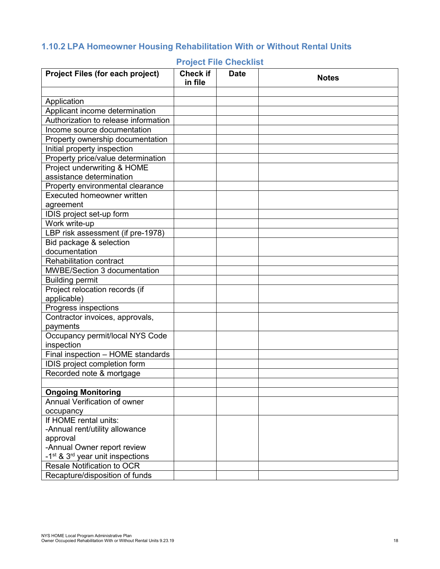### <span id="page-17-1"></span><span id="page-17-0"></span>**1.10.2 LPA Homeowner Housing Rehabilitation With or Without Rental Units**

| <b>Project Files (for each project)</b>                  | <b>Check if</b><br>in file | <b>Date</b> | <b>Notes</b> |
|----------------------------------------------------------|----------------------------|-------------|--------------|
|                                                          |                            |             |              |
| Application                                              |                            |             |              |
| Applicant income determination                           |                            |             |              |
| Authorization to release information                     |                            |             |              |
| Income source documentation                              |                            |             |              |
| Property ownership documentation                         |                            |             |              |
| Initial property inspection                              |                            |             |              |
| Property price/value determination                       |                            |             |              |
| Project underwriting & HOME                              |                            |             |              |
| assistance determination                                 |                            |             |              |
| Property environmental clearance                         |                            |             |              |
| <b>Executed homeowner written</b>                        |                            |             |              |
| agreement                                                |                            |             |              |
| IDIS project set-up form                                 |                            |             |              |
| Work write-up                                            |                            |             |              |
| LBP risk assessment (if pre-1978)                        |                            |             |              |
| Bid package & selection                                  |                            |             |              |
| documentation                                            |                            |             |              |
| <b>Rehabilitation contract</b>                           |                            |             |              |
| <b>MWBE/Section 3 documentation</b>                      |                            |             |              |
| <b>Building permit</b>                                   |                            |             |              |
| Project relocation records (if                           |                            |             |              |
| applicable)                                              |                            |             |              |
| Progress inspections                                     |                            |             |              |
| Contractor invoices, approvals,                          |                            |             |              |
| payments                                                 |                            |             |              |
| Occupancy permit/local NYS Code                          |                            |             |              |
| inspection                                               |                            |             |              |
| Final inspection - HOME standards                        |                            |             |              |
| IDIS project completion form                             |                            |             |              |
| Recorded note & mortgage                                 |                            |             |              |
|                                                          |                            |             |              |
| <b>Ongoing Monitoring</b>                                |                            |             |              |
| Annual Verification of owner                             |                            |             |              |
| occupancy                                                |                            |             |              |
| If HOME rental units:                                    |                            |             |              |
| -Annual rent/utility allowance                           |                            |             |              |
| approval                                                 |                            |             |              |
| -Annual Owner report review                              |                            |             |              |
| -1 <sup>st</sup> & 3 <sup>rd</sup> year unit inspections |                            |             |              |
| <b>Resale Notification to OCR</b>                        |                            |             |              |
| Recapture/disposition of funds                           |                            |             |              |

### **Project File Checklist**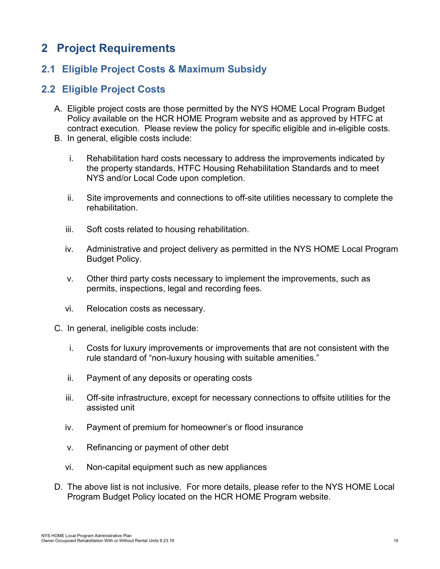# <span id="page-18-0"></span>**2 Project Requirements**

### <span id="page-18-1"></span>**2.1 Eligible Project Costs & Maximum Subsidy**

### <span id="page-18-2"></span>**2.2 Eligible Project Costs**

- A. Eligible project costs are those permitted by the NYS HOME Local Program Budget Policy available on the HCR HOME Program website and as approved by HTFC at contract execution. Please review the policy for specific eligible and in-eligible costs.
- B. In general, eligible costs include:
	- i. Rehabilitation hard costs necessary to address the improvements indicated by the property standards, HTFC Housing Rehabilitation Standards and to meet NYS and/or Local Code upon completion.
	- ii. Site improvements and connections to off-site utilities necessary to complete the rehabilitation.
	- iii. Soft costs related to housing rehabilitation.
	- iv. Administrative and project delivery as permitted in the NYS HOME Local Program Budget Policy.
	- v. Other third party costs necessary to implement the improvements, such as permits, inspections, legal and recording fees.
	- vi. Relocation costs as necessary.
- C. In general, ineligible costs include:
	- i. Costs for luxury improvements or improvements that are not consistent with the rule standard of "non-luxury housing with suitable amenities."
	- ii. Payment of any deposits or operating costs
	- iii. Off-site infrastructure, except for necessary connections to offsite utilities for the assisted unit
	- iv. Payment of premium for homeowner's or flood insurance
	- v. Refinancing or payment of other debt
	- vi. Non-capital equipment such as new appliances
- D. The above list is not inclusive. For more details, please refer to the NYS HOME Local Program Budget Policy located on the HCR HOME Program website.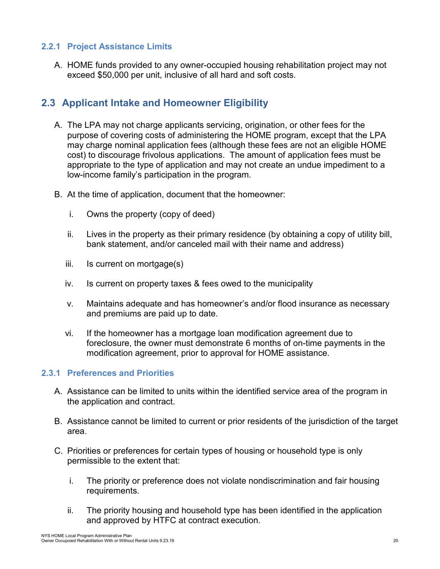#### <span id="page-19-0"></span>**2.2.1 Project Assistance Limits**

A. HOME funds provided to any owner-occupied housing rehabilitation project may not exceed \$50,000 per unit, inclusive of all hard and soft costs.

### <span id="page-19-1"></span>**2.3 Applicant Intake and Homeowner Eligibility**

- A. The LPA may not charge applicants servicing, origination, or other fees for the purpose of covering costs of administering the HOME program, except that the LPA may charge nominal application fees (although these fees are not an eligible HOME cost) to discourage frivolous applications. The amount of application fees must be appropriate to the type of application and may not create an undue impediment to a low-income family's participation in the program.
- B. At the time of application, document that the homeowner:
	- i. Owns the property (copy of deed)
	- ii. Lives in the property as their primary residence (by obtaining a copy of utility bill, bank statement, and/or canceled mail with their name and address)
	- iii. Is current on mortgage(s)
	- iv. Is current on property taxes & fees owed to the municipality
	- v. Maintains adequate and has homeowner's and/or flood insurance as necessary and premiums are paid up to date.
	- vi. If the homeowner has a mortgage loan modification agreement due to foreclosure, the owner must demonstrate 6 months of on-time payments in the modification agreement, prior to approval for HOME assistance.

#### <span id="page-19-2"></span>**2.3.1 Preferences and Priorities**

- A. Assistance can be limited to units within the identified service area of the program in the application and contract.
- B. Assistance cannot be limited to current or prior residents of the jurisdiction of the target area.
- C. Priorities or preferences for certain types of housing or household type is only permissible to the extent that:
	- i. The priority or preference does not violate nondiscrimination and fair housing requirements.
	- ii. The priority housing and household type has been identified in the application and approved by HTFC at contract execution.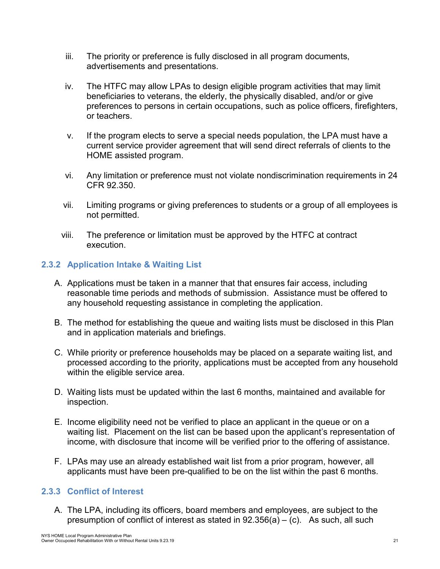- iii. The priority or preference is fully disclosed in all program documents, advertisements and presentations.
- iv. The HTFC may allow LPAs to design eligible program activities that may limit beneficiaries to veterans, the elderly, the physically disabled, and/or or give preferences to persons in certain occupations, such as police officers, firefighters, or teachers.
- v. If the program elects to serve a special needs population, the LPA must have a current service provider agreement that will send direct referrals of clients to the HOME assisted program.
- vi. Any limitation or preference must not violate nondiscrimination requirements in 24 CFR 92.350.
- vii. Limiting programs or giving preferences to students or a group of all employees is not permitted.
- viii. The preference or limitation must be approved by the HTFC at contract execution.

### <span id="page-20-0"></span>**2.3.2 Application Intake & Waiting List**

- A. Applications must be taken in a manner that that ensures fair access, including reasonable time periods and methods of submission. Assistance must be offered to any household requesting assistance in completing the application.
- B. The method for establishing the queue and waiting lists must be disclosed in this Plan and in application materials and briefings.
- C. While priority or preference households may be placed on a separate waiting list, and processed according to the priority, applications must be accepted from any household within the eligible service area.
- D. Waiting lists must be updated within the last 6 months, maintained and available for inspection.
- E. Income eligibility need not be verified to place an applicant in the queue or on a waiting list. Placement on the list can be based upon the applicant's representation of income, with disclosure that income will be verified prior to the offering of assistance.
- F. LPAs may use an already established wait list from a prior program, however, all applicants must have been pre-qualified to be on the list within the past 6 months.

### <span id="page-20-1"></span>**2.3.3 Conflict of Interest**

A. The LPA, including its officers, board members and employees, are subject to the presumption of conflict of interest as stated in  $92.356(a) - (c)$ . As such, all such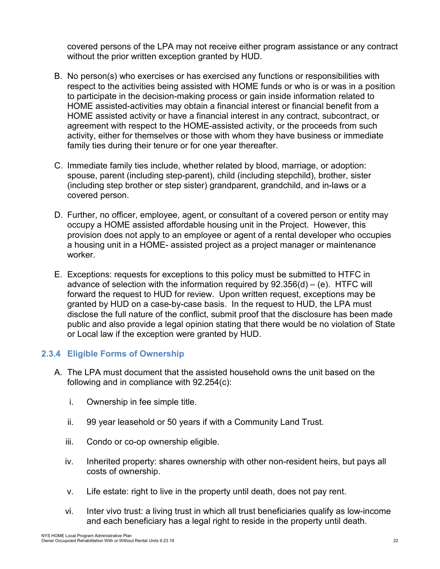covered persons of the LPA may not receive either program assistance or any contract without the prior written exception granted by HUD.

- B. No person(s) who exercises or has exercised any functions or responsibilities with respect to the activities being assisted with HOME funds or who is or was in a position to participate in the decision-making process or gain inside information related to HOME assisted-activities may obtain a financial interest or financial benefit from a HOME assisted activity or have a financial interest in any contract, subcontract, or agreement with respect to the HOME-assisted activity, or the proceeds from such activity, either for themselves or those with whom they have business or immediate family ties during their tenure or for one year thereafter.
- C. Immediate family ties include, whether related by blood, marriage, or adoption: spouse, parent (including step-parent), child (including stepchild), brother, sister (including step brother or step sister) grandparent, grandchild, and in-laws or a covered person.
- D. Further, no officer, employee, agent, or consultant of a covered person or entity may occupy a HOME assisted affordable housing unit in the Project. However, this provision does not apply to an employee or agent of a rental developer who occupies a housing unit in a HOME- assisted project as a project manager or maintenance worker.
- E. Exceptions: requests for exceptions to this policy must be submitted to HTFC in advance of selection with the information required by  $92.356(d) - (e)$ . HTFC will forward the request to HUD for review. Upon written request, exceptions may be granted by HUD on a case-by-case basis. In the request to HUD, the LPA must disclose the full nature of the conflict, submit proof that the disclosure has been made public and also provide a legal opinion stating that there would be no violation of State or Local law if the exception were granted by HUD.

### <span id="page-21-0"></span>**2.3.4 Eligible Forms of Ownership**

- A. The LPA must document that the assisted household owns the unit based on the following and in compliance with 92.254(c):
	- i. Ownership in fee simple title.
	- ii. 99 year leasehold or 50 years if with a Community Land Trust.
	- iii. Condo or co-op ownership eligible.
	- iv. Inherited property: shares ownership with other non-resident heirs, but pays all costs of ownership.
	- v. Life estate: right to live in the property until death, does not pay rent.
	- vi. Inter vivo trust: a living trust in which all trust beneficiaries qualify as low-income and each beneficiary has a legal right to reside in the property until death.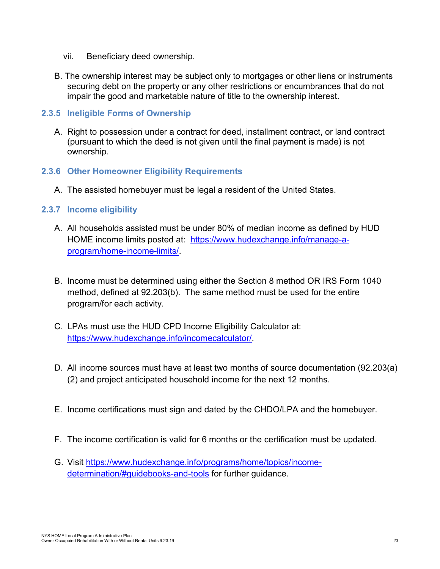- vii. Beneficiary deed ownership.
- B. The ownership interest may be subject only to mortgages or other liens or instruments securing debt on the property or any other restrictions or encumbrances that do not impair the good and marketable nature of title to the ownership interest.

#### <span id="page-22-0"></span>**2.3.5 Ineligible Forms of Ownership**

A. Right to possession under a contract for deed, installment contract, or land contract (pursuant to which the deed is not given until the final payment is made) is not ownership.

#### <span id="page-22-1"></span>**2.3.6 Other Homeowner Eligibility Requirements**

A. The assisted homebuyer must be legal a resident of the United States.

### <span id="page-22-2"></span>**2.3.7 Income eligibility**

- A. All households assisted must be under 80% of median income as defined by HUD HOME income limits posted at: [https://www.hudexchange.info/manage-a](https://www.hudexchange.info/manage-a-program/home-income-limits/)[program/home-income-limits/.](https://www.hudexchange.info/manage-a-program/home-income-limits/)
- B. Income must be determined using either the Section 8 method OR IRS Form 1040 method, defined at 92.203(b). The same method must be used for the entire program/for each activity.
- C. LPAs must use the HUD CPD Income Eligibility Calculator at: [https://www.hudexchange.info/incomecalculator/.](https://www.hudexchange.info/incomecalculator/)
- D. All income sources must have at least two months of source documentation (92.203(a) (2) and project anticipated household income for the next 12 months.
- E. Income certifications must sign and dated by the CHDO/LPA and the homebuyer.
- F. The income certification is valid for 6 months or the certification must be updated.
- G. Visit [https://www.hudexchange.info/programs/home/topics/income](https://www.hudexchange.info/programs/home/topics/income-determination/#guidebooks-and-tools)[determination/#guidebooks-and-tools](https://www.hudexchange.info/programs/home/topics/income-determination/#guidebooks-and-tools) for further guidance.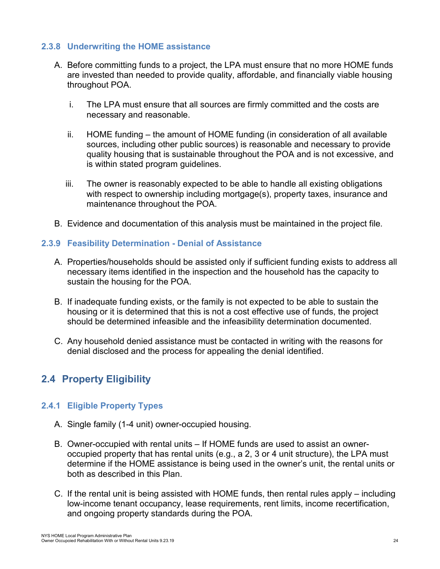#### <span id="page-23-0"></span>**2.3.8 Underwriting the HOME assistance**

- A. Before committing funds to a project, the LPA must ensure that no more HOME funds are invested than needed to provide quality, affordable, and financially viable housing throughout POA.
	- i. The LPA must ensure that all sources are firmly committed and the costs are necessary and reasonable.
	- ii. HOME funding the amount of HOME funding (in consideration of all available sources, including other public sources) is reasonable and necessary to provide quality housing that is sustainable throughout the POA and is not excessive, and is within stated program guidelines.
	- iii. The owner is reasonably expected to be able to handle all existing obligations with respect to ownership including mortgage(s), property taxes, insurance and maintenance throughout the POA.
- B. Evidence and documentation of this analysis must be maintained in the project file.

### <span id="page-23-1"></span>**2.3.9 Feasibility Determination - Denial of Assistance**

- A. Properties/households should be assisted only if sufficient funding exists to address all necessary items identified in the inspection and the household has the capacity to sustain the housing for the POA.
- B. If inadequate funding exists, or the family is not expected to be able to sustain the housing or it is determined that this is not a cost effective use of funds, the project should be determined infeasible and the infeasibility determination documented.
- C. Any household denied assistance must be contacted in writing with the reasons for denial disclosed and the process for appealing the denial identified.

### <span id="page-23-2"></span>**2.4 Property Eligibility**

### <span id="page-23-3"></span>**2.4.1 Eligible Property Types**

- A. Single family (1-4 unit) owner-occupied housing.
- B. Owner-occupied with rental units If HOME funds are used to assist an owneroccupied property that has rental units (e.g., a 2, 3 or 4 unit structure), the LPA must determine if the HOME assistance is being used in the owner's unit, the rental units or both as described in this Plan.
- C. If the rental unit is being assisted with HOME funds, then rental rules apply including low-income tenant occupancy, lease requirements, rent limits, income recertification, and ongoing property standards during the POA.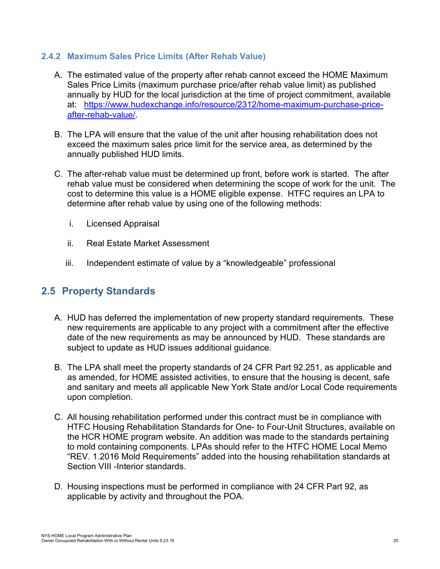#### <span id="page-24-0"></span>**2.4.2 Maximum Sales Price Limits (After Rehab Value)**

- A. The estimated value of the property after rehab cannot exceed the HOME Maximum Sales Price Limits (maximum purchase price/after rehab value limit) as published annually by HUD for the local jurisdiction at the time of project commitment, available at: [https://www.hudexchange.info/resource/2312/home-maximum-purchase-price](https://www.hudexchange.info/resource/2312/home-maximum-purchase-price-after-rehab-value/)[after-rehab-value/.](https://www.hudexchange.info/resource/2312/home-maximum-purchase-price-after-rehab-value/)
- B. The LPA will ensure that the value of the unit after housing rehabilitation does not exceed the maximum sales price limit for the service area, as determined by the annually published HUD limits.
- C. The after-rehab value must be determined up front, before work is started. The after rehab value must be considered when determining the scope of work for the unit. The cost to determine this value is a HOME eligible expense. HTFC requires an LPA to determine after rehab value by using one of the following methods:
	- i. Licensed Appraisal
	- ii. Real Estate Market Assessment
	- iii. Independent estimate of value by a "knowledgeable" professional

### <span id="page-24-1"></span>**2.5 Property Standards**

- A. HUD has deferred the implementation of new property standard requirements. These new requirements are applicable to any project with a commitment after the effective date of the new requirements as may be announced by HUD. These standards are subject to update as HUD issues additional guidance.
- B. The LPA shall meet the property standards of 24 CFR Part 92.251, as applicable and as amended, for HOME assisted activities, to ensure that the housing is decent, safe and sanitary and meets all applicable New York State and/or Local Code requirements upon completion.
- C. All housing rehabilitation performed under this contract must be in compliance with HTFC Housing Rehabilitation Standards for One- to Four-Unit Structures, available on the HCR HOME program website. An addition was made to the standards pertaining to mold containing components. LPAs should refer to the HTFC HOME Local Memo "REV. 1.2016 Mold Requirements" added into the housing rehabilitation standards at Section VIII -Interior standards.
- D. Housing inspections must be performed in compliance with 24 CFR Part 92, as applicable by activity and throughout the POA.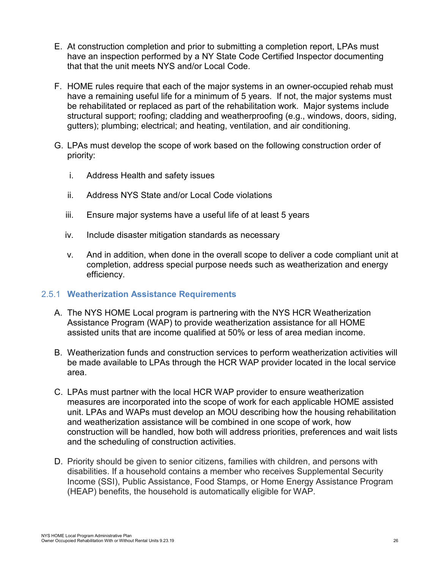- E. At construction completion and prior to submitting a completion report, LPAs must have an inspection performed by a NY State Code Certified Inspector documenting that that the unit meets NYS and/or Local Code.
- F. HOME rules require that each of the major systems in an owner-occupied rehab must have a remaining useful life for a minimum of 5 years. If not, the major systems must be rehabilitated or replaced as part of the rehabilitation work. Major systems include structural support; roofing; cladding and weatherproofing (e.g., windows, doors, siding, gutters); plumbing; electrical; and heating, ventilation, and air conditioning.
- G. LPAs must develop the scope of work based on the following construction order of priority:
	- i. Address Health and safety issues
	- ii. Address NYS State and/or Local Code violations
	- iii. Ensure major systems have a useful life of at least 5 years
	- iv. Include disaster mitigation standards as necessary
	- v. And in addition, when done in the overall scope to deliver a code compliant unit at completion, address special purpose needs such as weatherization and energy efficiency.

### <span id="page-25-0"></span>2.5.1 **Weatherization Assistance Requirements**

- A. The NYS HOME Local program is partnering with the NYS HCR Weatherization Assistance Program (WAP) to provide weatherization assistance for all HOME assisted units that are income qualified at 50% or less of area median income.
- B. Weatherization funds and construction services to perform weatherization activities will be made available to LPAs through the HCR WAP provider located in the local service area.
- C. LPAs must partner with the local HCR WAP provider to ensure weatherization measures are incorporated into the scope of work for each applicable HOME assisted unit. LPAs and WAPs must develop an MOU describing how the housing rehabilitation and weatherization assistance will be combined in one scope of work, how construction will be handled, how both will address priorities, preferences and wait lists and the scheduling of construction activities.
- D. Priority should be given to senior citizens, families with children, and persons with disabilities. If a household contains a member who receives Supplemental Security Income (SSI), Public Assistance, Food Stamps, or Home Energy Assistance Program (HEAP) benefits, the household is automatically eligible for WAP.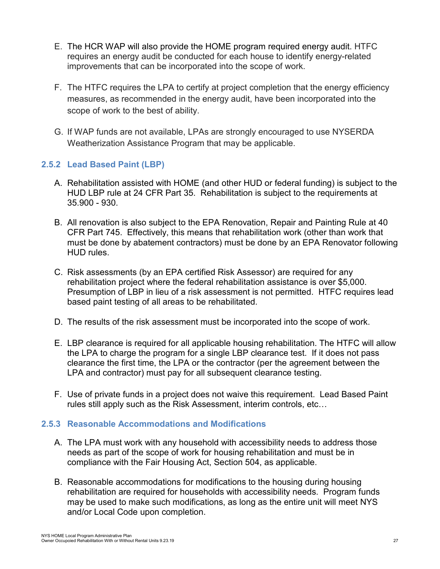- E. The HCR WAP will also provide the HOME program required energy audit. HTFC requires an energy audit be conducted for each house to identify energy-related improvements that can be incorporated into the scope of work.
- F. The HTFC requires the LPA to certify at project completion that the energy efficiency measures, as recommended in the energy audit, have been incorporated into the scope of work to the best of ability.
- G. If WAP funds are not available, LPAs are strongly encouraged to use NYSERDA Weatherization Assistance Program that may be applicable.

### <span id="page-26-0"></span>**2.5.2 Lead Based Paint (LBP)**

- A. Rehabilitation assisted with HOME (and other HUD or federal funding) is subject to the HUD LBP rule at 24 CFR Part 35. Rehabilitation is subject to the requirements at 35.900 - 930.
- B. All renovation is also subject to the EPA Renovation, Repair and Painting Rule at 40 CFR Part 745. Effectively, this means that rehabilitation work (other than work that must be done by abatement contractors) must be done by an EPA Renovator following HUD rules.
- C. Risk assessments (by an EPA certified Risk Assessor) are required for any rehabilitation project where the federal rehabilitation assistance is over \$5,000. Presumption of LBP in lieu of a risk assessment is not permitted. HTFC requires lead based paint testing of all areas to be rehabilitated.
- D. The results of the risk assessment must be incorporated into the scope of work.
- E. LBP clearance is required for all applicable housing rehabilitation. The HTFC will allow the LPA to charge the program for a single LBP clearance test. If it does not pass clearance the first time, the LPA or the contractor (per the agreement between the LPA and contractor) must pay for all subsequent clearance testing.
- F. Use of private funds in a project does not waive this requirement. Lead Based Paint rules still apply such as the Risk Assessment, interim controls, etc…

### <span id="page-26-1"></span>**2.5.3 Reasonable Accommodations and Modifications**

- A. The LPA must work with any household with accessibility needs to address those needs as part of the scope of work for housing rehabilitation and must be in compliance with the Fair Housing Act, Section 504, as applicable.
- B. Reasonable accommodations for modifications to the housing during housing rehabilitation are required for households with accessibility needs. Program funds may be used to make such modifications, as long as the entire unit will meet NYS and/or Local Code upon completion.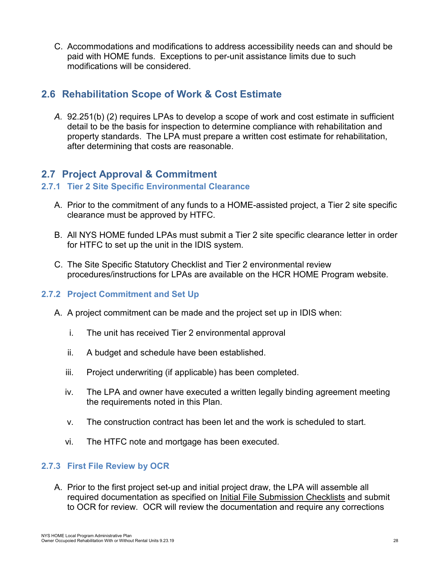C. Accommodations and modifications to address accessibility needs can and should be paid with HOME funds. Exceptions to per-unit assistance limits due to such modifications will be considered.

### <span id="page-27-0"></span>**2.6 Rehabilitation Scope of Work & Cost Estimate**

*A.* 92.251(b) (2) requires LPAs to develop a scope of work and cost estimate in sufficient detail to be the basis for inspection to determine compliance with rehabilitation and property standards. The LPA must prepare a written cost estimate for rehabilitation, after determining that costs are reasonable.

### <span id="page-27-1"></span>**2.7 Project Approval & Commitment**

#### <span id="page-27-2"></span>**2.7.1 Tier 2 Site Specific Environmental Clearance**

- A. Prior to the commitment of any funds to a HOME-assisted project, a Tier 2 site specific clearance must be approved by HTFC.
- B. All NYS HOME funded LPAs must submit a Tier 2 site specific clearance letter in order for HTFC to set up the unit in the IDIS system.
- C. The Site Specific Statutory Checklist and Tier 2 environmental review procedures/instructions for LPAs are available on the HCR HOME Program website.

### <span id="page-27-3"></span>**2.7.2 Project Commitment and Set Up**

- A. A project commitment can be made and the project set up in IDIS when:
	- i. The unit has received Tier 2 environmental approval
	- ii. A budget and schedule have been established.
	- iii. Project underwriting (if applicable) has been completed.
	- iv. The LPA and owner have executed a written legally binding agreement meeting the requirements noted in this Plan.
	- v. The construction contract has been let and the work is scheduled to start.
	- vi. The HTFC note and mortgage has been executed.

#### <span id="page-27-4"></span>**2.7.3 First File Review by OCR**

A. Prior to the first project set-up and initial project draw, the LPA will assemble all required documentation as specified on *Initial File Submission Checklists* and submit to OCR for review. OCR will review the documentation and require any corrections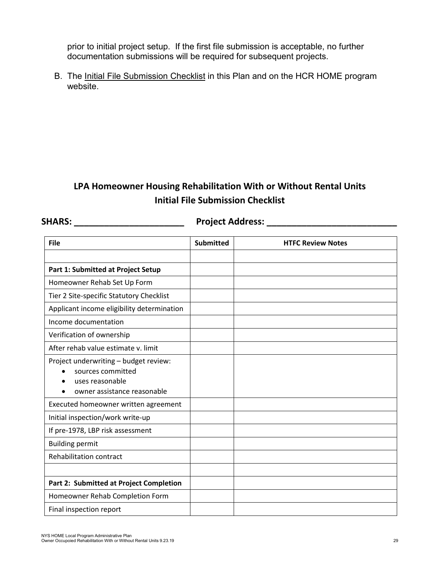prior to initial project setup. If the first file submission is acceptable, no further documentation submissions will be required for subsequent projects.

B. The Initial File Submission Checklist in this Plan and on the HCR HOME program website.

### **LPA Homeowner Housing Rehabilitation With or Without Rental Units Initial File Submission Checklist**

**SHARS: \_\_\_\_\_\_\_\_\_\_\_\_\_\_\_\_\_\_\_\_\_\_ Project Address: \_\_\_\_\_\_\_\_\_\_\_\_\_\_\_\_\_\_\_\_\_\_\_\_\_\_**

| <b>File</b>                                                                                                  | <b>Submitted</b> | <b>HTFC Review Notes</b> |
|--------------------------------------------------------------------------------------------------------------|------------------|--------------------------|
|                                                                                                              |                  |                          |
| Part 1: Submitted at Project Setup                                                                           |                  |                          |
| Homeowner Rehab Set Up Form                                                                                  |                  |                          |
| Tier 2 Site-specific Statutory Checklist                                                                     |                  |                          |
| Applicant income eligibility determination                                                                   |                  |                          |
| Income documentation                                                                                         |                  |                          |
| Verification of ownership                                                                                    |                  |                          |
| After rehab value estimate v. limit                                                                          |                  |                          |
| Project underwriting - budget review:<br>sources committed<br>uses reasonable<br>owner assistance reasonable |                  |                          |
| Executed homeowner written agreement                                                                         |                  |                          |
| Initial inspection/work write-up                                                                             |                  |                          |
| If pre-1978, LBP risk assessment                                                                             |                  |                          |
| <b>Building permit</b>                                                                                       |                  |                          |
| Rehabilitation contract                                                                                      |                  |                          |
|                                                                                                              |                  |                          |
| Part 2: Submitted at Project Completion                                                                      |                  |                          |
| Homeowner Rehab Completion Form                                                                              |                  |                          |
| Final inspection report                                                                                      |                  |                          |

NYS HOME Local Program Administrative Plan Owner Occupoied Rehabilitation With or Without Rental Units 9.23.19 29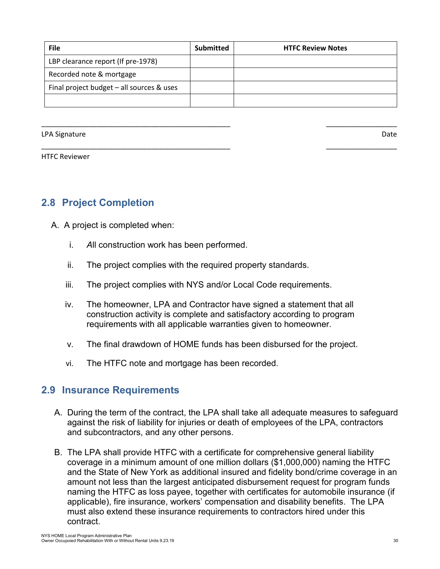| <b>File</b>                                 | Submitted | <b>HTFC Review Notes</b> |
|---------------------------------------------|-----------|--------------------------|
| LBP clearance report (If pre-1978)          |           |                          |
| Recorded note & mortgage                    |           |                          |
| Final project budget $-$ all sources & uses |           |                          |
|                                             |           |                          |

\_\_\_\_\_\_\_\_\_\_\_\_\_\_\_\_\_\_\_\_\_\_\_\_\_\_\_\_\_\_\_\_\_\_\_\_\_\_\_\_\_\_\_\_\_\_\_\_ \_\_\_\_\_\_\_\_\_\_\_\_\_\_\_\_\_\_

\_\_\_\_\_\_\_\_\_\_\_\_\_\_\_\_\_\_\_\_\_\_\_\_\_\_\_\_\_\_\_\_\_\_\_\_\_\_\_\_\_\_\_\_\_\_\_\_ \_\_\_\_\_\_\_\_\_\_\_\_\_\_\_\_\_\_

LPA Signature Date Date of the United States of the United States of the United States of the Date of the United States of the United States of the United States of the United States of the United States of the United Stat

HTFC Reviewer

### <span id="page-29-0"></span>**2.8 Project Completion**

- A. A project is completed when:
	- i. *A*ll construction work has been performed.
	- ii. The project complies with the required property standards.
	- iii. The project complies with NYS and/or Local Code requirements.
	- iv. The homeowner, LPA and Contractor have signed a statement that all construction activity is complete and satisfactory according to program requirements with all applicable warranties given to homeowner.
	- v. The final drawdown of HOME funds has been disbursed for the project.
	- vi. The HTFC note and mortgage has been recorded.

### <span id="page-29-1"></span>**2.9 Insurance Requirements**

- A. During the term of the contract, the LPA shall take all adequate measures to safeguard against the risk of liability for injuries or death of employees of the LPA, contractors and subcontractors, and any other persons.
- B. The LPA shall provide HTFC with a certificate for comprehensive general liability coverage in a minimum amount of one million dollars (\$1,000,000) naming the HTFC and the State of New York as additional insured and fidelity bond/crime coverage in an amount not less than the largest anticipated disbursement request for program funds naming the HTFC as loss payee, together with certificates for automobile insurance (if applicable), fire insurance, workers' compensation and disability benefits. The LPA must also extend these insurance requirements to contractors hired under this contract.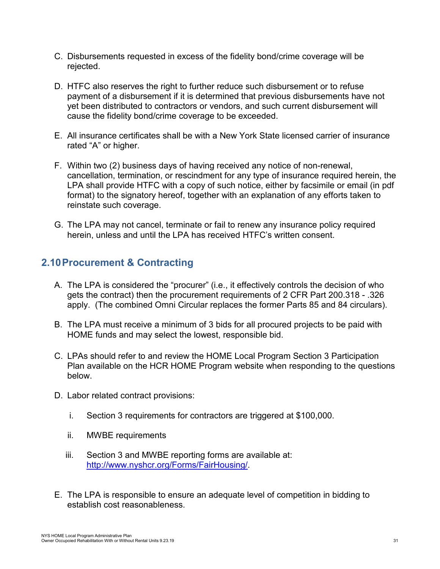- C. Disbursements requested in excess of the fidelity bond/crime coverage will be rejected.
- D. HTFC also reserves the right to further reduce such disbursement or to refuse payment of a disbursement if it is determined that previous disbursements have not yet been distributed to contractors or vendors, and such current disbursement will cause the fidelity bond/crime coverage to be exceeded.
- E. All insurance certificates shall be with a New York State licensed carrier of insurance rated "A" or higher.
- F. Within two (2) business days of having received any notice of non-renewal, cancellation, termination, or rescindment for any type of insurance required herein, the LPA shall provide HTFC with a copy of such notice, either by facsimile or email (in pdf format) to the signatory hereof, together with an explanation of any efforts taken to reinstate such coverage.
- G. The LPA may not cancel, terminate or fail to renew any insurance policy required herein, unless and until the LPA has received HTFC's written consent.

### <span id="page-30-0"></span>**2.10Procurement & Contracting**

- A. The LPA is considered the "procurer" (i.e., it effectively controls the decision of who gets the contract) then the procurement requirements of 2 CFR Part 200.318 - .326 apply. (The combined Omni Circular replaces the former Parts 85 and 84 circulars).
- B. The LPA must receive a minimum of 3 bids for all procured projects to be paid with HOME funds and may select the lowest, responsible bid.
- C. LPAs should refer to and review the HOME Local Program Section 3 Participation Plan available on the HCR HOME Program website when responding to the questions below.
- D. Labor related contract provisions:
	- i. Section 3 requirements for contractors are triggered at \$100,000.
	- ii. MWBE requirements
	- iii. Section 3 and MWBE reporting forms are available at: [http://www.nyshcr.org/Forms/FairHousing/.](http://www.nyshcr.org/Forms/FairHousing/)
- E. The LPA is responsible to ensure an adequate level of competition in bidding to establish cost reasonableness.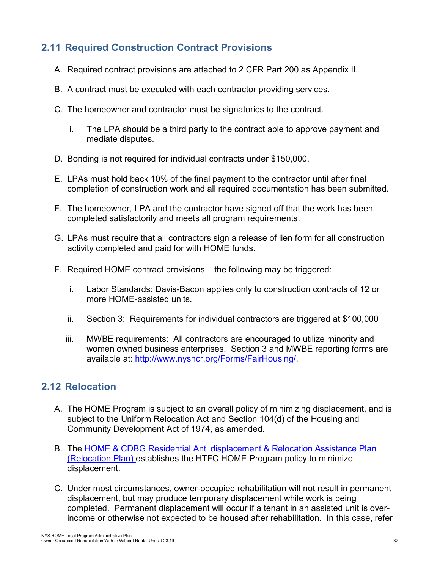### <span id="page-31-0"></span>**2.11 Required Construction Contract Provisions**

- A. Required contract provisions are attached to 2 CFR Part 200 as Appendix II.
- B. A contract must be executed with each contractor providing services.
- C. The homeowner and contractor must be signatories to the contract.
	- i. The LPA should be a third party to the contract able to approve payment and mediate disputes.
- D. Bonding is not required for individual contracts under \$150,000.
- E. LPAs must hold back 10% of the final payment to the contractor until after final completion of construction work and all required documentation has been submitted.
- F. The homeowner, LPA and the contractor have signed off that the work has been completed satisfactorily and meets all program requirements.
- G. LPAs must require that all contractors sign a release of lien form for all construction activity completed and paid for with HOME funds.
- F. Required HOME contract provisions the following may be triggered:
	- i. Labor Standards: Davis-Bacon applies only to construction contracts of 12 or more HOME-assisted units.
	- ii. Section 3: Requirements for individual contractors are triggered at \$100,000
	- iii. MWBE requirements: All contractors are encouraged to utilize minority and women owned business enterprises. Section 3 and MWBE reporting forms are available at: [http://www.nyshcr.org/Forms/FairHousing/.](http://www.nyshcr.org/Forms/FairHousing/)

### <span id="page-31-1"></span>**2.12 Relocation**

- A. The HOME Program is subject to an overall policy of minimizing displacement, and is subject to the Uniform Relocation Act and Section 104(d) of the Housing and Community Development Act of 1974, as amended.
- B. The HOME & CDBG Residential Anti [displacement & Relocation Assistance Plan](http://www.nyshcr.org/Programs/NYSHome/HOME-CDBG-Antidisplacement-Relocation-plan.pdf) (Relocation Plan) establishes the HTFC HOME Program policy to minimize displacement.
- C. Under most circumstances, owner-occupied rehabilitation will not result in permanent displacement, but may produce temporary displacement while work is being completed. Permanent displacement will occur if a tenant in an assisted unit is overincome or otherwise not expected to be housed after rehabilitation. In this case, refer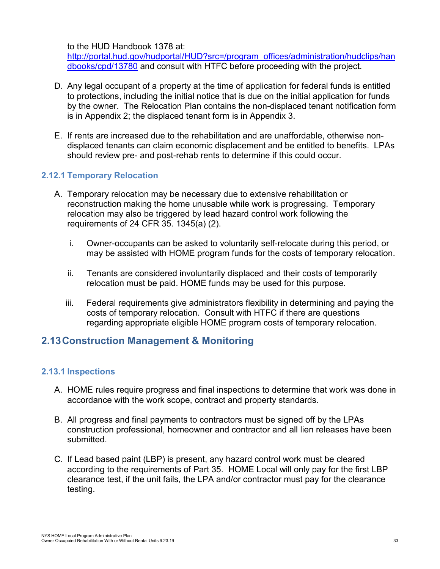to the HUD Handbook 1378 at:

[http://portal.hud.gov/hudportal/HUD?src=/program\\_offices/administration/hudclips/han](http://portal.hud.gov/hudportal/HUD?src=/program_offices/administration/hudclips/handbooks/cpd/13780) [dbooks/cpd/13780](http://portal.hud.gov/hudportal/HUD?src=/program_offices/administration/hudclips/handbooks/cpd/13780) and consult with HTFC before proceeding with the project.

- D. Any legal occupant of a property at the time of application for federal funds is entitled to protections, including the initial notice that is due on the initial application for funds by the owner. The Relocation Plan contains the non-displaced tenant notification form is in Appendix 2; the displaced tenant form is in Appendix 3.
- E. If rents are increased due to the rehabilitation and are unaffordable, otherwise nondisplaced tenants can claim economic displacement and be entitled to benefits. LPAs should review pre- and post-rehab rents to determine if this could occur.

### <span id="page-32-0"></span>**2.12.1 Temporary Relocation**

- A. Temporary relocation may be necessary due to extensive rehabilitation or reconstruction making the home unusable while work is progressing. Temporary relocation may also be triggered by lead hazard control work following the requirements of 24 CFR 35. 1345(a) (2).
	- i. Owner-occupants can be asked to voluntarily self-relocate during this period, or may be assisted with HOME program funds for the costs of temporary relocation.
	- ii. Tenants are considered involuntarily displaced and their costs of temporarily relocation must be paid. HOME funds may be used for this purpose.
	- iii. Federal requirements give administrators flexibility in determining and paying the costs of temporary relocation. Consult with HTFC if there are questions regarding appropriate eligible HOME program costs of temporary relocation.

### <span id="page-32-1"></span>**2.13Construction Management & Monitoring**

### <span id="page-32-2"></span>**2.13.1 Inspections**

- A. HOME rules require progress and final inspections to determine that work was done in accordance with the work scope, contract and property standards.
- B. All progress and final payments to contractors must be signed off by the LPAs construction professional, homeowner and contractor and all lien releases have been submitted.
- C. If Lead based paint (LBP) is present, any hazard control work must be cleared according to the requirements of Part 35. HOME Local will only pay for the first LBP clearance test, if the unit fails, the LPA and/or contractor must pay for the clearance testing.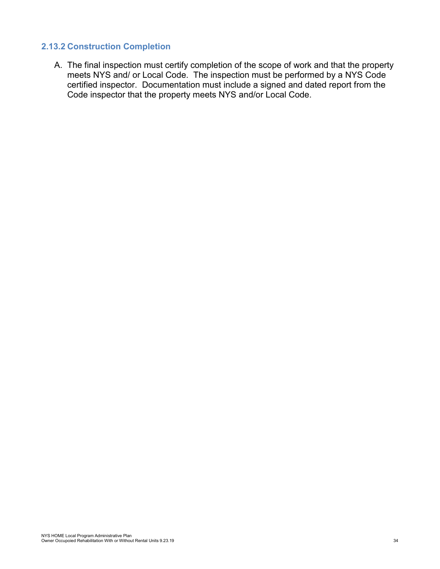### <span id="page-33-0"></span>**2.13.2 Construction Completion**

A. The final inspection must certify completion of the scope of work and that the property meets NYS and/ or Local Code. The inspection must be performed by a NYS Code certified inspector. Documentation must include a signed and dated report from the Code inspector that the property meets NYS and/or Local Code.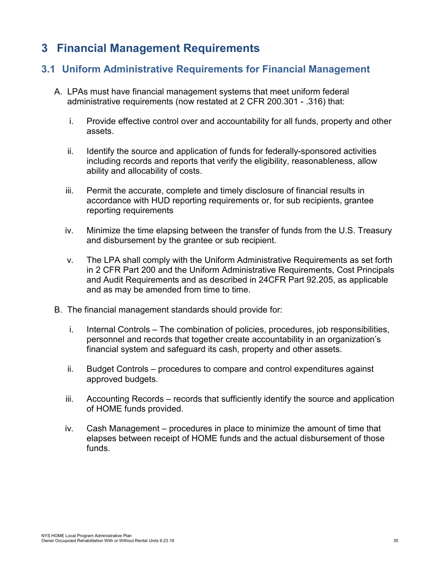## <span id="page-34-0"></span>**3 Financial Management Requirements**

### <span id="page-34-1"></span>**3.1 Uniform Administrative Requirements for Financial Management**

- A. LPAs must have financial management systems that meet uniform federal administrative requirements (now restated at 2 CFR 200.301 - .316) that:
	- i. Provide effective control over and accountability for all funds, property and other assets.
	- ii. Identify the source and application of funds for federally-sponsored activities including records and reports that verify the eligibility, reasonableness, allow ability and allocability of costs.
	- iii. Permit the accurate, complete and timely disclosure of financial results in accordance with HUD reporting requirements or, for sub recipients, grantee reporting requirements
	- iv. Minimize the time elapsing between the transfer of funds from the U.S. Treasury and disbursement by the grantee or sub recipient.
	- v. The LPA shall comply with the Uniform Administrative Requirements as set forth in 2 CFR Part 200 and the Uniform Administrative Requirements, Cost Principals and Audit Requirements and as described in 24CFR Part 92.205, as applicable and as may be amended from time to time.
- B. The financial management standards should provide for:
	- i. Internal Controls The combination of policies, procedures, job responsibilities, personnel and records that together create accountability in an organization's financial system and safeguard its cash, property and other assets.
	- ii. Budget Controls procedures to compare and control expenditures against approved budgets.
	- iii. Accounting Records records that sufficiently identify the source and application of HOME funds provided.
	- iv. Cash Management procedures in place to minimize the amount of time that elapses between receipt of HOME funds and the actual disbursement of those funds.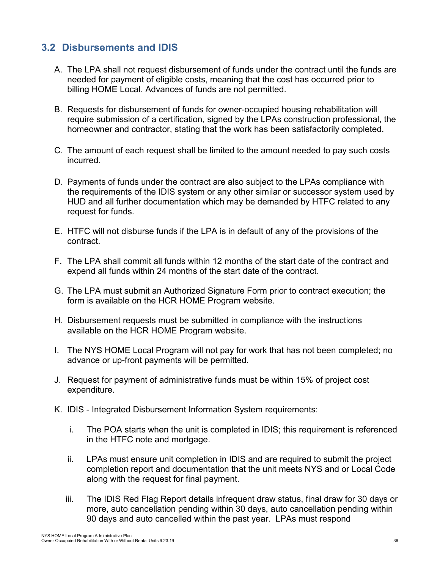### <span id="page-35-0"></span>**3.2 Disbursements and IDIS**

- A. The LPA shall not request disbursement of funds under the contract until the funds are needed for payment of eligible costs, meaning that the cost has occurred prior to billing HOME Local. Advances of funds are not permitted.
- B. Requests for disbursement of funds for owner-occupied housing rehabilitation will require submission of a certification, signed by the LPAs construction professional, the homeowner and contractor, stating that the work has been satisfactorily completed.
- C. The amount of each request shall be limited to the amount needed to pay such costs incurred.
- D. Payments of funds under the contract are also subject to the LPAs compliance with the requirements of the IDIS system or any other similar or successor system used by HUD and all further documentation which may be demanded by HTFC related to any request for funds.
- E. HTFC will not disburse funds if the LPA is in default of any of the provisions of the contract.
- F. The LPA shall commit all funds within 12 months of the start date of the contract and expend all funds within 24 months of the start date of the contract.
- G. The LPA must submit an Authorized Signature Form prior to contract execution; the form is available on the HCR HOME Program website.
- H. Disbursement requests must be submitted in compliance with the instructions available on the HCR HOME Program website.
- I. The NYS HOME Local Program will not pay for work that has not been completed; no advance or up-front payments will be permitted.
- J. Request for payment of administrative funds must be within 15% of project cost expenditure.
- K. IDIS Integrated Disbursement Information System requirements:
	- i. The POA starts when the unit is completed in IDIS; this requirement is referenced in the HTFC note and mortgage.
	- ii. LPAs must ensure unit completion in IDIS and are required to submit the project completion report and documentation that the unit meets NYS and or Local Code along with the request for final payment.
	- iii. The IDIS Red Flag Report details infrequent draw status, final draw for 30 days or more, auto cancellation pending within 30 days, auto cancellation pending within 90 days and auto cancelled within the past year. LPAs must respond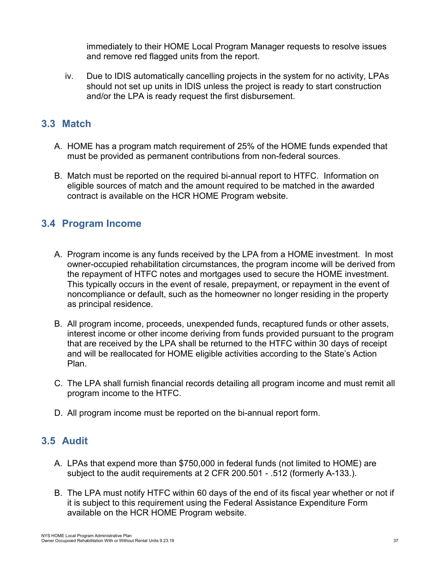immediately to their HOME Local Program Manager requests to resolve issues and remove red flagged units from the report.

iv. Due to IDIS automatically cancelling projects in the system for no activity, LPAs should not set up units in IDIS unless the project is ready to start construction and/or the LPA is ready request the first disbursement.

### <span id="page-36-0"></span>**3.3 Match**

- A. HOME has a program match requirement of 25% of the HOME funds expended that must be provided as permanent contributions from non-federal sources.
- B. Match must be reported on the required bi-annual report to HTFC. Information on eligible sources of match and the amount required to be matched in the awarded contract is available on the HCR HOME Program website.

### <span id="page-36-1"></span>**3.4 Program Income**

- A. Program income is any funds received by the LPA from a HOME investment. In most owner-occupied rehabilitation circumstances, the program income will be derived from the repayment of HTFC notes and mortgages used to secure the HOME investment. This typically occurs in the event of resale, prepayment, or repayment in the event of noncompliance or default, such as the homeowner no longer residing in the property as principal residence.
- B. All program income, proceeds, unexpended funds, recaptured funds or other assets, interest income or other income deriving from funds provided pursuant to the program that are received by the LPA shall be returned to the HTFC within 30 days of receipt and will be reallocated for HOME eligible activities according to the State's Action Plan.
- C. The LPA shall furnish financial records detailing all program income and must remit all program income to the HTFC.
- D. All program income must be reported on the bi-annual report form.

### <span id="page-36-2"></span>**3.5 Audit**

- A. LPAs that expend more than \$750,000 in federal funds (not limited to HOME) are subject to the audit requirements at 2 CFR 200.501 - .512 (formerly A-133.).
- B. The LPA must notify HTFC within 60 days of the end of its fiscal year whether or not if it is subject to this requirement using the Federal Assistance Expenditure Form available on the HCR HOME Program website.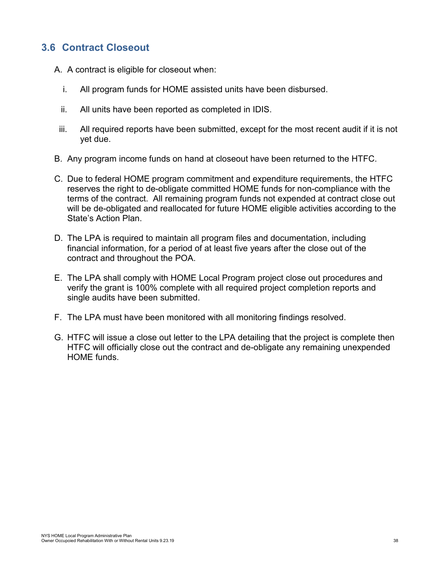### <span id="page-37-0"></span>**3.6 Contract Closeout**

- A. A contract is eligible for closeout when:
	- i. All program funds for HOME assisted units have been disbursed.
	- ii. All units have been reported as completed in IDIS.
- iii. All required reports have been submitted, except for the most recent audit if it is not yet due.
- B. Any program income funds on hand at closeout have been returned to the HTFC.
- C. Due to federal HOME program commitment and expenditure requirements, the HTFC reserves the right to de-obligate committed HOME funds for non-compliance with the terms of the contract. All remaining program funds not expended at contract close out will be de-obligated and reallocated for future HOME eligible activities according to the State's Action Plan.
- D. The LPA is required to maintain all program files and documentation, including financial information, for a period of at least five years after the close out of the contract and throughout the POA.
- E. The LPA shall comply with HOME Local Program project close out procedures and verify the grant is 100% complete with all required project completion reports and single audits have been submitted.
- F. The LPA must have been monitored with all monitoring findings resolved.
- G. HTFC will issue a close out letter to the LPA detailing that the project is complete then HTFC will officially close out the contract and de-obligate any remaining unexpended HOME funds.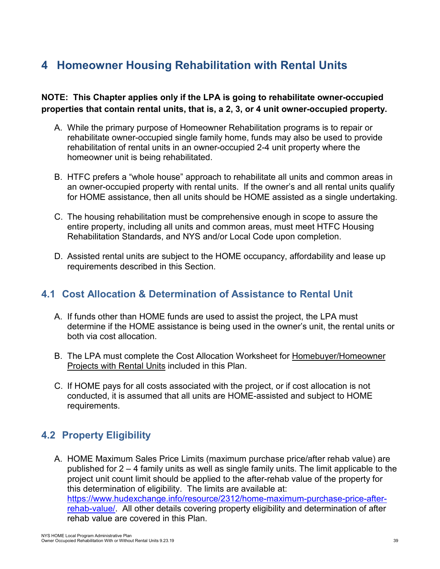# <span id="page-38-0"></span>**4 Homeowner Housing Rehabilitation with Rental Units**

#### **NOTE: This Chapter applies only if the LPA is going to rehabilitate owner-occupied properties that contain rental units, that is, a 2, 3, or 4 unit owner-occupied property.**

- A. While the primary purpose of Homeowner Rehabilitation programs is to repair or rehabilitate owner-occupied single family home, funds may also be used to provide rehabilitation of rental units in an owner-occupied 2-4 unit property where the homeowner unit is being rehabilitated.
- B. HTFC prefers a "whole house" approach to rehabilitate all units and common areas in an owner-occupied property with rental units. If the owner's and all rental units qualify for HOME assistance, then all units should be HOME assisted as a single undertaking.
- C. The housing rehabilitation must be comprehensive enough in scope to assure the entire property, including all units and common areas, must meet HTFC Housing Rehabilitation Standards, and NYS and/or Local Code upon completion.
- D. Assisted rental units are subject to the HOME occupancy, affordability and lease up requirements described in this Section.

### <span id="page-38-1"></span>**4.1 Cost Allocation & Determination of Assistance to Rental Unit**

- A. If funds other than HOME funds are used to assist the project, the LPA must determine if the HOME assistance is being used in the owner's unit, the rental units or both via cost allocation.
- B. The LPA must complete the Cost Allocation Worksheet for Homebuyer/Homeowner Projects with Rental Units included in this Plan.
- C. If HOME pays for all costs associated with the project, or if cost allocation is not conducted, it is assumed that all units are HOME-assisted and subject to HOME requirements.

### <span id="page-38-2"></span>**4.2 Property Eligibility**

A. HOME Maximum Sales Price Limits (maximum purchase price/after rehab value) are published for 2 – 4 family units as well as single family units. The limit applicable to the project unit count limit should be applied to the after-rehab value of the property for this determination of eligibility. The limits are available at: [https://www.hudexchange.info/resource/2312/home-maximum-purchase-price-after](https://www.hudexchange.info/resource/2312/home-maximum-purchase-price-after-rehab-value/)[rehab-value/.](https://www.hudexchange.info/resource/2312/home-maximum-purchase-price-after-rehab-value/) All other details covering property eligibility and determination of after rehab value are covered in this Plan.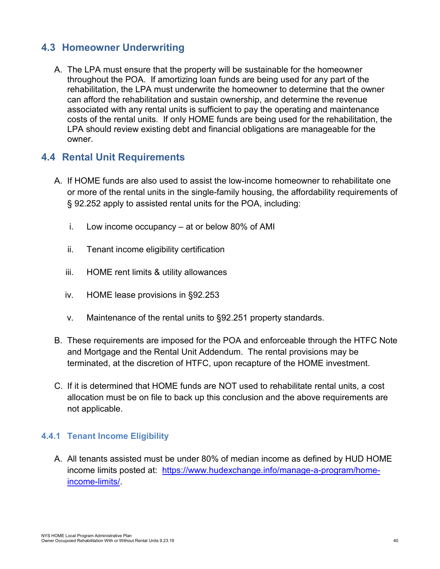### <span id="page-39-0"></span>**4.3 Homeowner Underwriting**

A. The LPA must ensure that the property will be sustainable for the homeowner throughout the POA. If amortizing loan funds are being used for any part of the rehabilitation, the LPA must underwrite the homeowner to determine that the owner can afford the rehabilitation and sustain ownership, and determine the revenue associated with any rental units is sufficient to pay the operating and maintenance costs of the rental units. If only HOME funds are being used for the rehabilitation, the LPA should review existing debt and financial obligations are manageable for the owner.

### <span id="page-39-1"></span>**4.4 Rental Unit Requirements**

- A. If HOME funds are also used to assist the low-income homeowner to rehabilitate one or more of the rental units in the single-family housing, the affordability requirements of § 92.252 apply to assisted rental units for the POA, including:
	- i. Low income occupancy at or below 80% of AMI
	- ii. Tenant income eligibility certification
	- iii. HOME rent limits & utility allowances
	- iv. HOME lease provisions in §92.253
	- v. Maintenance of the rental units to §92.251 property standards.
- B. These requirements are imposed for the POA and enforceable through the HTFC Note and Mortgage and the Rental Unit Addendum. The rental provisions may be terminated, at the discretion of HTFC, upon recapture of the HOME investment.
- C. If it is determined that HOME funds are NOT used to rehabilitate rental units, a cost allocation must be on file to back up this conclusion and the above requirements are not applicable.

### <span id="page-39-2"></span>**4.4.1 Tenant Income Eligibility**

A. All tenants assisted must be under 80% of median income as defined by HUD HOME income limits posted at: [https://www.hudexchange.info/manage-a-program/home](https://www.hudexchange.info/manage-a-program/home-income-limits/)[income-limits/.](https://www.hudexchange.info/manage-a-program/home-income-limits/)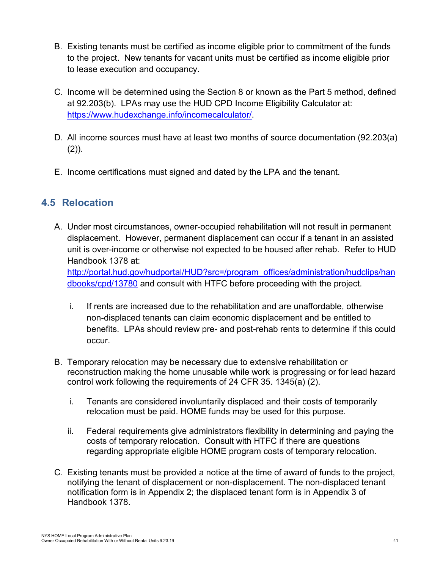- B. Existing tenants must be certified as income eligible prior to commitment of the funds to the project. New tenants for vacant units must be certified as income eligible prior to lease execution and occupancy.
- C. Income will be determined using the Section 8 or known as the Part 5 method, defined at 92.203(b). LPAs may use the HUD CPD Income Eligibility Calculator at: [https://www.hudexchange.info/incomecalculator/.](https://www.hudexchange.info/incomecalculator/)
- D. All income sources must have at least two months of source documentation (92.203(a)  $(2)$ ).
- E. Income certifications must signed and dated by the LPA and the tenant.

### <span id="page-40-0"></span>**4.5 Relocation**

A. Under most circumstances, owner-occupied rehabilitation will not result in permanent displacement. However, permanent displacement can occur if a tenant in an assisted unit is over-income or otherwise not expected to be housed after rehab. Refer to HUD Handbook 1378 at:

[http://portal.hud.gov/hudportal/HUD?src=/program\\_offices/administration/hudclips/han](http://portal.hud.gov/hudportal/HUD?src=/program_offices/administration/hudclips/handbooks/cpd/13780) [dbooks/cpd/13780](http://portal.hud.gov/hudportal/HUD?src=/program_offices/administration/hudclips/handbooks/cpd/13780) and consult with HTFC before proceeding with the project.

- i. If rents are increased due to the rehabilitation and are unaffordable, otherwise non-displaced tenants can claim economic displacement and be entitled to benefits. LPAs should review pre- and post-rehab rents to determine if this could occur.
- B. Temporary relocation may be necessary due to extensive rehabilitation or reconstruction making the home unusable while work is progressing or for lead hazard control work following the requirements of 24 CFR 35. 1345(a) (2).
	- i. Tenants are considered involuntarily displaced and their costs of temporarily relocation must be paid. HOME funds may be used for this purpose.
	- ii. Federal requirements give administrators flexibility in determining and paying the costs of temporary relocation. Consult with HTFC if there are questions regarding appropriate eligible HOME program costs of temporary relocation.
- C. Existing tenants must be provided a notice at the time of award of funds to the project, notifying the tenant of displacement or non-displacement. The non-displaced tenant notification form is in Appendix 2; the displaced tenant form is in Appendix 3 of Handbook 1378.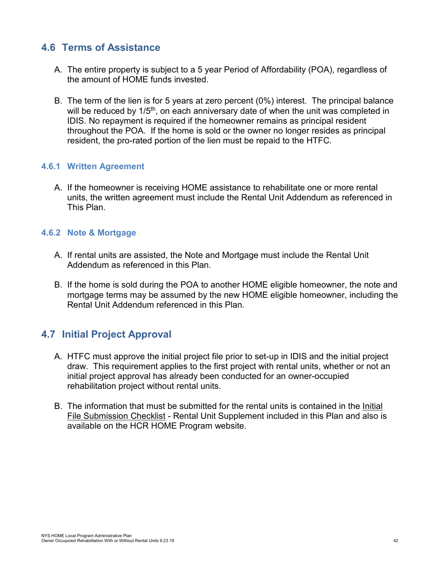### <span id="page-41-0"></span>**4.6 Terms of Assistance**

- A. The entire property is subject to a 5 year Period of Affordability (POA), regardless of the amount of HOME funds invested.
- B. The term of the lien is for 5 years at zero percent (0%) interest. The principal balance will be reduced by 1/5<sup>th</sup>, on each anniversary date of when the unit was completed in IDIS. No repayment is required if the homeowner remains as principal resident throughout the POA. If the home is sold or the owner no longer resides as principal resident, the pro-rated portion of the lien must be repaid to the HTFC.

#### <span id="page-41-1"></span>**4.6.1 Written Agreement**

A. If the homeowner is receiving HOME assistance to rehabilitate one or more rental units, the written agreement must include the Rental Unit Addendum as referenced in This Plan.

#### <span id="page-41-2"></span>**4.6.2 Note & Mortgage**

- A. If rental units are assisted, the Note and Mortgage must include the Rental Unit Addendum as referenced in this Plan.
- B. If the home is sold during the POA to another HOME eligible homeowner, the note and mortgage terms may be assumed by the new HOME eligible homeowner, including the Rental Unit Addendum referenced in this Plan.

### <span id="page-41-3"></span>**4.7 Initial Project Approval**

- A. HTFC must approve the initial project file prior to set-up in IDIS and the initial project draw. This requirement applies to the first project with rental units, whether or not an initial project approval has already been conducted for an owner-occupied rehabilitation project without rental units.
- B. The information that must be submitted for the rental units is contained in the Initial File Submission Checklist - Rental Unit Supplement included in this Plan and also is available on the HCR HOME Program website.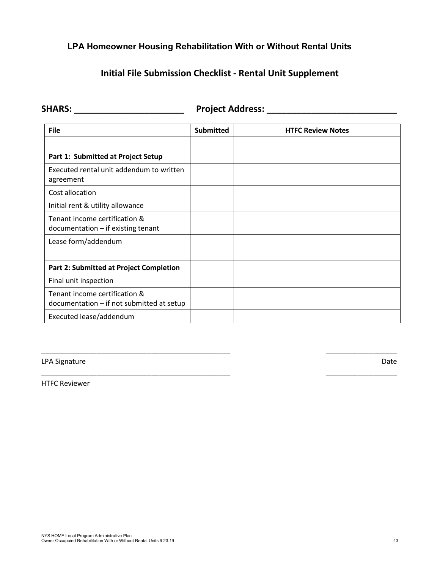### <span id="page-42-0"></span>**LPA Homeowner Housing Rehabilitation With or Without Rental Units**

### **Initial File Submission Checklist - Rental Unit Supplement**

| <b>SHARS:</b> | <b>Project Address:</b> |  |
|---------------|-------------------------|--|
|               |                         |  |

| <b>File</b>                                                                | <b>Submitted</b> | <b>HTFC Review Notes</b> |
|----------------------------------------------------------------------------|------------------|--------------------------|
|                                                                            |                  |                          |
| Part 1: Submitted at Project Setup                                         |                  |                          |
| Executed rental unit addendum to written<br>agreement                      |                  |                          |
| Cost allocation                                                            |                  |                          |
| Initial rent & utility allowance                                           |                  |                          |
| Tenant income certification &<br>$documentation - if existing tenant$      |                  |                          |
| Lease form/addendum                                                        |                  |                          |
|                                                                            |                  |                          |
| <b>Part 2: Submitted at Project Completion</b>                             |                  |                          |
| Final unit inspection                                                      |                  |                          |
| Tenant income certification &<br>documentation - if not submitted at setup |                  |                          |
| Executed lease/addendum                                                    |                  |                          |

\_\_\_\_\_\_\_\_\_\_\_\_\_\_\_\_\_\_\_\_\_\_\_\_\_\_\_\_\_\_\_\_\_\_\_\_\_\_\_\_\_\_\_\_\_\_\_\_ \_\_\_\_\_\_\_\_\_\_\_\_\_\_\_\_\_\_

\_\_\_\_\_\_\_\_\_\_\_\_\_\_\_\_\_\_\_\_\_\_\_\_\_\_\_\_\_\_\_\_\_\_\_\_\_\_\_\_\_\_\_\_\_\_\_\_ \_\_\_\_\_\_\_\_\_\_\_\_\_\_\_\_\_\_

LPA Signature Date

HTFC Reviewer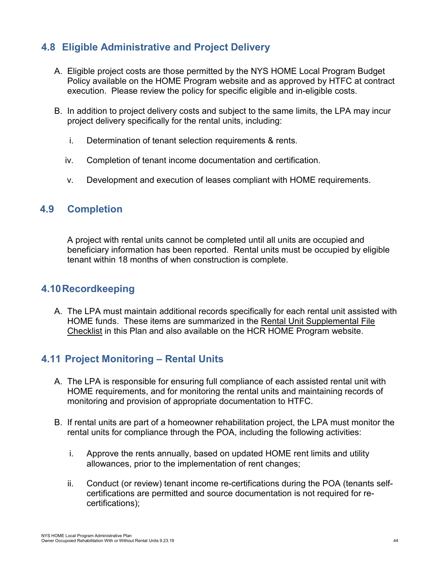### <span id="page-43-0"></span>**4.8 Eligible Administrative and Project Delivery**

- A. Eligible project costs are those permitted by the NYS HOME Local Program Budget Policy available on the HOME Program website and as approved by HTFC at contract execution. Please review the policy for specific eligible and in-eligible costs.
- B. In addition to project delivery costs and subject to the same limits, the LPA may incur project delivery specifically for the rental units, including:
	- i. Determination of tenant selection requirements & rents.
	- iv. Completion of tenant income documentation and certification.
	- v. Development and execution of leases compliant with HOME requirements.

### **4.9 Completion**

A project with rental units cannot be completed until all units are occupied and beneficiary information has been reported. Rental units must be occupied by eligible tenant within 18 months of when construction is complete.

### <span id="page-43-1"></span>**4.10Recordkeeping**

A. The LPA must maintain additional records specifically for each rental unit assisted with HOME funds. These items are summarized in the Rental Unit Supplemental File Checklist in this Plan and also available on the HCR HOME Program website.

### <span id="page-43-2"></span>**4.11 Project Monitoring – Rental Units**

- A. The LPA is responsible for ensuring full compliance of each assisted rental unit with HOME requirements, and for monitoring the rental units and maintaining records of monitoring and provision of appropriate documentation to HTFC.
- B. If rental units are part of a homeowner rehabilitation project, the LPA must monitor the rental units for compliance through the POA, including the following activities:
	- i. Approve the rents annually, based on updated HOME rent limits and utility allowances, prior to the implementation of rent changes;
	- ii. Conduct (or review) tenant income re-certifications during the POA (tenants selfcertifications are permitted and source documentation is not required for recertifications);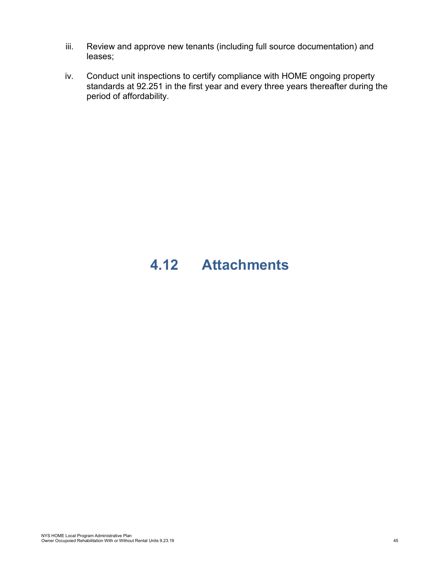- iii. Review and approve new tenants (including full source documentation) and leases;
- iv. Conduct unit inspections to certify compliance with HOME ongoing property standards at 92.251 in the first year and every three years thereafter during the period of affordability.

# <span id="page-44-0"></span>**4.12 Attachments**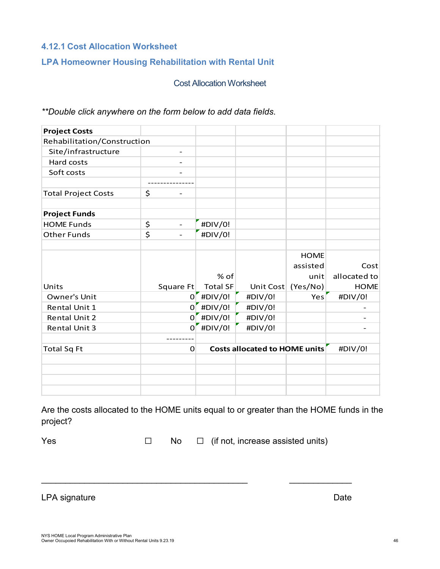#### <span id="page-45-0"></span>**4.12.1 Cost Allocation Worksheet**

### <span id="page-45-1"></span>**LPA Homeowner Housing Rehabilitation with Rental Unit**

Cost Allocation Worksheet

*\*\*Double click anywhere on the form below to add data fields*.

| <b>Project Costs</b>        |                                |                 |                               |                                 |                      |
|-----------------------------|--------------------------------|-----------------|-------------------------------|---------------------------------|----------------------|
| Rehabilitation/Construction |                                |                 |                               |                                 |                      |
| Site/infrastructure         |                                |                 |                               |                                 |                      |
| Hard costs                  |                                |                 |                               |                                 |                      |
| Soft costs                  |                                |                 |                               |                                 |                      |
|                             |                                |                 |                               |                                 |                      |
| <b>Total Project Costs</b>  | \$                             |                 |                               |                                 |                      |
| <b>Project Funds</b>        |                                |                 |                               |                                 |                      |
| <b>HOME Funds</b>           | \$<br>$\overline{\phantom{a}}$ | #DIV/0!         |                               |                                 |                      |
| <b>Other Funds</b>          | \$                             | #DIV/0!         |                               |                                 |                      |
|                             |                                | % of            |                               | <b>HOME</b><br>assisted<br>unit | Cost<br>allocated to |
| Units                       | Square Ft                      | <b>Total SF</b> | Unit Cost                     | (Yes/No)                        | <b>HOME</b>          |
| Owner's Unit                |                                | $0$ #DIV/0!     | #DIV/0!                       | Yes                             | #DIV/0!              |
| Rental Unit 1               |                                | $0$ #DIV/0!     | #DIV/0!                       |                                 |                      |
| <b>Rental Unit 2</b>        | $\Omega$                       | #DIV/0!         | #DIV/0!                       |                                 |                      |
| <b>Rental Unit 3</b>        | $\Omega$                       | #DIV/0!         | #DIV/0!                       |                                 |                      |
|                             |                                |                 |                               |                                 |                      |
| <b>Total Sq Ft</b>          | 0                              |                 | Costs allocated to HOME units |                                 | #DIV/0!              |
|                             |                                |                 |                               |                                 |                      |
|                             |                                |                 |                               |                                 |                      |
|                             |                                |                 |                               |                                 |                      |

Are the costs allocated to the HOME units equal to or greater than the HOME funds in the project?

\_\_\_\_\_\_\_\_\_\_\_\_\_\_\_\_\_\_\_\_\_\_\_\_\_\_\_\_\_\_\_\_\_\_\_\_\_\_\_\_\_\_\_ \_\_\_\_\_\_\_\_\_\_\_\_\_

Yes □ No □ (if not, increase assisted units)

LPA signature Date Date Contract and Date Date Date Date